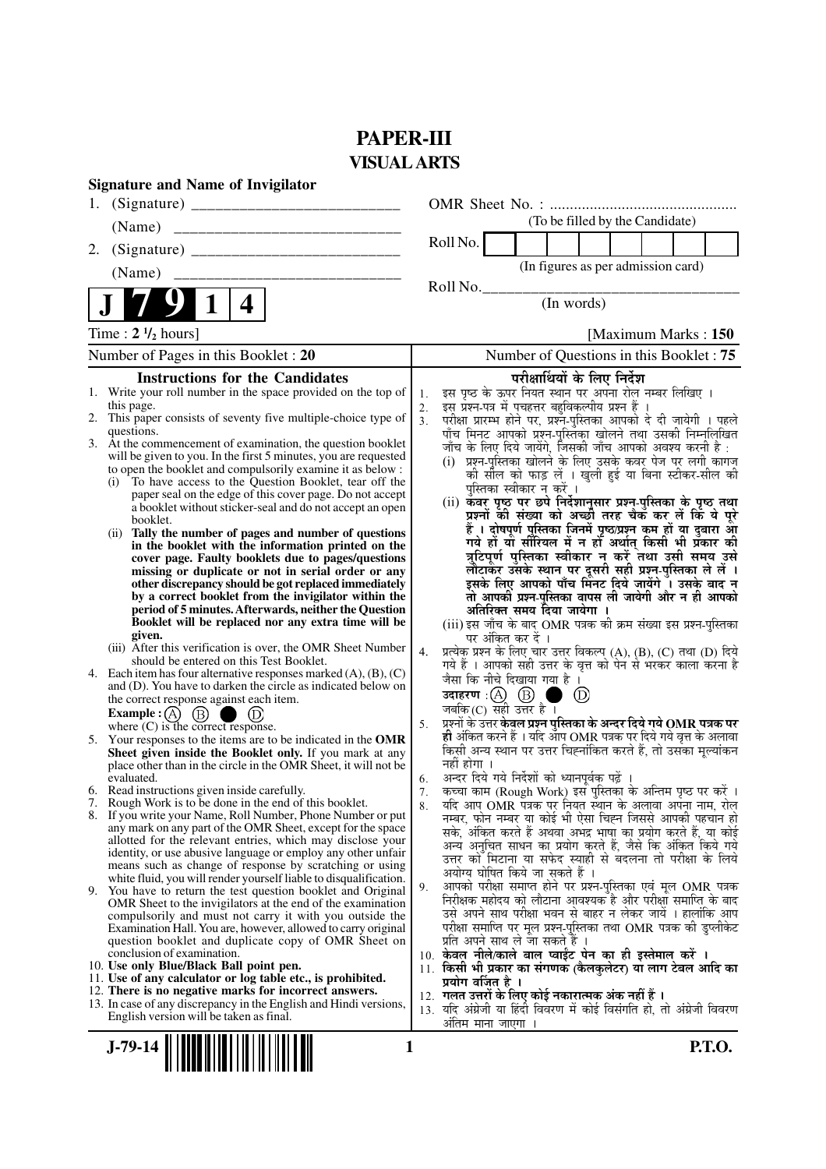# **PAPER-III VISUAL ARTS**

| <b>Signature and Name of Invigilator</b>                                                                                                                                                                                                                                                                                                                                                                                                                                                                                                                                                                                                                                                                                                                                                                                                                                                                                                                                                                                                                                                                                                                                                                                                                                                                                                                                                                                                                                                                                                                                                                                                                                                                                                                                                                                                                                                                                                                                                                                                                                                                                                                                                                                                         |                                                                                                                                                                                                                                                                                                                                                                                                                                                                                                                                                                                                                                                                                                                                                                                                                                                                                                                                                                                                                                                                                                                                                                                                                                                                                                                                                                                                                                                                                                                                                                                                                                                                                                                                                                                                                                                                                                                                                                                                                                                                                                                                                                                                                                                                    |
|--------------------------------------------------------------------------------------------------------------------------------------------------------------------------------------------------------------------------------------------------------------------------------------------------------------------------------------------------------------------------------------------------------------------------------------------------------------------------------------------------------------------------------------------------------------------------------------------------------------------------------------------------------------------------------------------------------------------------------------------------------------------------------------------------------------------------------------------------------------------------------------------------------------------------------------------------------------------------------------------------------------------------------------------------------------------------------------------------------------------------------------------------------------------------------------------------------------------------------------------------------------------------------------------------------------------------------------------------------------------------------------------------------------------------------------------------------------------------------------------------------------------------------------------------------------------------------------------------------------------------------------------------------------------------------------------------------------------------------------------------------------------------------------------------------------------------------------------------------------------------------------------------------------------------------------------------------------------------------------------------------------------------------------------------------------------------------------------------------------------------------------------------------------------------------------------------------------------------------------------------|--------------------------------------------------------------------------------------------------------------------------------------------------------------------------------------------------------------------------------------------------------------------------------------------------------------------------------------------------------------------------------------------------------------------------------------------------------------------------------------------------------------------------------------------------------------------------------------------------------------------------------------------------------------------------------------------------------------------------------------------------------------------------------------------------------------------------------------------------------------------------------------------------------------------------------------------------------------------------------------------------------------------------------------------------------------------------------------------------------------------------------------------------------------------------------------------------------------------------------------------------------------------------------------------------------------------------------------------------------------------------------------------------------------------------------------------------------------------------------------------------------------------------------------------------------------------------------------------------------------------------------------------------------------------------------------------------------------------------------------------------------------------------------------------------------------------------------------------------------------------------------------------------------------------------------------------------------------------------------------------------------------------------------------------------------------------------------------------------------------------------------------------------------------------------------------------------------------------------------------------------------------------|
| 1.                                                                                                                                                                                                                                                                                                                                                                                                                                                                                                                                                                                                                                                                                                                                                                                                                                                                                                                                                                                                                                                                                                                                                                                                                                                                                                                                                                                                                                                                                                                                                                                                                                                                                                                                                                                                                                                                                                                                                                                                                                                                                                                                                                                                                                               |                                                                                                                                                                                                                                                                                                                                                                                                                                                                                                                                                                                                                                                                                                                                                                                                                                                                                                                                                                                                                                                                                                                                                                                                                                                                                                                                                                                                                                                                                                                                                                                                                                                                                                                                                                                                                                                                                                                                                                                                                                                                                                                                                                                                                                                                    |
| (Name)                                                                                                                                                                                                                                                                                                                                                                                                                                                                                                                                                                                                                                                                                                                                                                                                                                                                                                                                                                                                                                                                                                                                                                                                                                                                                                                                                                                                                                                                                                                                                                                                                                                                                                                                                                                                                                                                                                                                                                                                                                                                                                                                                                                                                                           | (To be filled by the Candidate)                                                                                                                                                                                                                                                                                                                                                                                                                                                                                                                                                                                                                                                                                                                                                                                                                                                                                                                                                                                                                                                                                                                                                                                                                                                                                                                                                                                                                                                                                                                                                                                                                                                                                                                                                                                                                                                                                                                                                                                                                                                                                                                                                                                                                                    |
| 2.                                                                                                                                                                                                                                                                                                                                                                                                                                                                                                                                                                                                                                                                                                                                                                                                                                                                                                                                                                                                                                                                                                                                                                                                                                                                                                                                                                                                                                                                                                                                                                                                                                                                                                                                                                                                                                                                                                                                                                                                                                                                                                                                                                                                                                               | Roll No.                                                                                                                                                                                                                                                                                                                                                                                                                                                                                                                                                                                                                                                                                                                                                                                                                                                                                                                                                                                                                                                                                                                                                                                                                                                                                                                                                                                                                                                                                                                                                                                                                                                                                                                                                                                                                                                                                                                                                                                                                                                                                                                                                                                                                                                           |
| (Name)                                                                                                                                                                                                                                                                                                                                                                                                                                                                                                                                                                                                                                                                                                                                                                                                                                                                                                                                                                                                                                                                                                                                                                                                                                                                                                                                                                                                                                                                                                                                                                                                                                                                                                                                                                                                                                                                                                                                                                                                                                                                                                                                                                                                                                           | (In figures as per admission card)                                                                                                                                                                                                                                                                                                                                                                                                                                                                                                                                                                                                                                                                                                                                                                                                                                                                                                                                                                                                                                                                                                                                                                                                                                                                                                                                                                                                                                                                                                                                                                                                                                                                                                                                                                                                                                                                                                                                                                                                                                                                                                                                                                                                                                 |
| 4                                                                                                                                                                                                                                                                                                                                                                                                                                                                                                                                                                                                                                                                                                                                                                                                                                                                                                                                                                                                                                                                                                                                                                                                                                                                                                                                                                                                                                                                                                                                                                                                                                                                                                                                                                                                                                                                                                                                                                                                                                                                                                                                                                                                                                                | Roll No.<br>(In words)                                                                                                                                                                                                                                                                                                                                                                                                                                                                                                                                                                                                                                                                                                                                                                                                                                                                                                                                                                                                                                                                                                                                                                                                                                                                                                                                                                                                                                                                                                                                                                                                                                                                                                                                                                                                                                                                                                                                                                                                                                                                                                                                                                                                                                             |
| Time: $2 \frac{1}{2}$ hours]                                                                                                                                                                                                                                                                                                                                                                                                                                                                                                                                                                                                                                                                                                                                                                                                                                                                                                                                                                                                                                                                                                                                                                                                                                                                                                                                                                                                                                                                                                                                                                                                                                                                                                                                                                                                                                                                                                                                                                                                                                                                                                                                                                                                                     | [Maximum Marks: 150]                                                                                                                                                                                                                                                                                                                                                                                                                                                                                                                                                                                                                                                                                                                                                                                                                                                                                                                                                                                                                                                                                                                                                                                                                                                                                                                                                                                                                                                                                                                                                                                                                                                                                                                                                                                                                                                                                                                                                                                                                                                                                                                                                                                                                                               |
| Number of Pages in this Booklet: 20                                                                                                                                                                                                                                                                                                                                                                                                                                                                                                                                                                                                                                                                                                                                                                                                                                                                                                                                                                                                                                                                                                                                                                                                                                                                                                                                                                                                                                                                                                                                                                                                                                                                                                                                                                                                                                                                                                                                                                                                                                                                                                                                                                                                              | Number of Questions in this Booklet : 75                                                                                                                                                                                                                                                                                                                                                                                                                                                                                                                                                                                                                                                                                                                                                                                                                                                                                                                                                                                                                                                                                                                                                                                                                                                                                                                                                                                                                                                                                                                                                                                                                                                                                                                                                                                                                                                                                                                                                                                                                                                                                                                                                                                                                           |
| <b>Instructions for the Candidates</b>                                                                                                                                                                                                                                                                                                                                                                                                                                                                                                                                                                                                                                                                                                                                                                                                                                                                                                                                                                                                                                                                                                                                                                                                                                                                                                                                                                                                                                                                                                                                                                                                                                                                                                                                                                                                                                                                                                                                                                                                                                                                                                                                                                                                           | परीक्षार्थियों के लिए निर्देश                                                                                                                                                                                                                                                                                                                                                                                                                                                                                                                                                                                                                                                                                                                                                                                                                                                                                                                                                                                                                                                                                                                                                                                                                                                                                                                                                                                                                                                                                                                                                                                                                                                                                                                                                                                                                                                                                                                                                                                                                                                                                                                                                                                                                                      |
| 1. Write your roll number in the space provided on the top of<br>this page.<br>2. This paper consists of seventy five multiple-choice type of<br>questions.<br>3. At the commencement of examination, the question booklet<br>will be given to you. In the first 5 minutes, you are requested<br>to open the booklet and compulsorily examine it as below :<br>To have access to the Question Booklet, tear off the<br>(i)<br>paper seal on the edge of this cover page. Do not accept<br>a booklet without sticker-seal and do not accept an open<br>booklet.<br>Tally the number of pages and number of questions<br>(ii)<br>in the booklet with the information printed on the<br>cover page. Faulty booklets due to pages/questions<br>missing or duplicate or not in serial order or any<br>other discrepancy should be got replaced immediately<br>by a correct booklet from the invigilator within the<br>period of 5 minutes. Afterwards, neither the Question<br>Booklet will be replaced nor any extra time will be<br>given.<br>(iii) After this verification is over, the OMR Sheet Number<br>should be entered on this Test Booklet.<br>4. Each item has four alternative responses marked $(A)$ , $(B)$ , $(C)$<br>and (D). You have to darken the circle as indicated below on<br>the correct response against each item.<br>Example : (A) $(B)$<br>$\begin{array}{c} \bullet \\ \bullet \end{array}$<br>where $(C)$ is the correct response.<br>5. Your responses to the items are to be indicated in the OMR<br>Sheet given inside the Booklet only. If you mark at any<br>place other than in the circle in the OMR Sheet, it will not be<br>evaluated.<br>6. Read instructions given inside carefully.<br>7. Rough Work is to be done in the end of this booklet.<br>8. If you write your Name, Roll Number, Phone Number or put<br>any mark on any part of the OMR Sheet, except for the space<br>allotted for the relevant entries, which may disclose your<br>identity, or use abusive language or employ any other unfair<br>means such as change of response by scratching or using<br>white fluid, you will render yourself liable to disqualification.<br>9. You have to return the test question booklet and Original | इस पृष्ठ के ऊपर नियत स्थान पर अपना रोल नम्बर लिखिए ।<br>1.<br>इस प्रश्न-पत्र में पचहत्तर बहुविकल्पीय प्रश्न हैं ।<br>2.<br>परीक्षा प्रारम्भ होने पर, प्रश्नॅ-पुस्तिका आपको दे दी जायेगी । पहले<br>3.<br>पाँच मिनट आपको प्रश्न-पुस्तिका खोलने तथा उसकी निम्नलिखित<br>जाँच के लिए दिये जायेंगे, जिसकी जाँच आपको अवश्य करनी है :<br>(i) प्रश्न-पुस्तिका खोलने के लिए उसके कवर पेज पर लगी कागज<br>को सील को फाड़ लें । खुली हुई या बिना स्टीकर-सील की<br>पुस्तिका स्वीकार न करें ।<br>(ii) कँवर पृष्ठ पर छपे निर्देशानुसार प्रश्न-पुस्तिका के पृष्ठ तथा<br>प्रश्नों की संख्या को अच्छी तरह चैक कर लें कि ये पूरे<br>हैं । दोषपूर्ण पुस्तिका जिनमें पृष्ठ/प्रश्न कम हों या दुबारा आ<br>गये हों या सीरियल में न हों अर्थात् किसी भी प्रॅकार की<br>त्रुटिपूर्ण पुस्तिका स्वीकार न करें तथा उसी समय उसे<br>लौटाकर उसके स्थान पर दूसरी सही प्रश्न-पुस्तिका ले लें ।<br>इसके लिए आपको पाँच मिंनट दिये जायेंगे ँ। उसके बाद न<br>तो आपकी प्रश्न-पुस्तिका वापस ली जायेगी और न ही आपको<br>अतिरिक्त समय दिया जायेगा ।<br>(iii) इस जाँच के बाद OMR पत्रक की क्रम संख्या इस प्रश्न-पुस्तिका<br>पर अंकित कर दें ।<br>प्रत्येक प्रश्न के लिए चार उत्तर विकल्प (A), (B), (C) तथा (D) दिये<br>4.<br>गये हैं । आपको सही उत्तर के वृत्त को पेन से भरकर काला करना है<br>जैसा कि नीचे दिखाया गया है ।<br>उदाहरण : $\left(\!\begin{matrix}\mathrm{A}\!\end{matrix}\right)\left(\!\begin{matrix}\mathrm{B}\!\end{matrix}\!\right)$<br>$\circled{D}$<br>जबकि(C) सही उत्तर है ।<br>प्रश्नों के उत्तर <b>केवल प्रश्न पुस्तिका के अन्दर दिये गये OMR पत्रक पर</b><br>5.<br>ही अंकित करने हैं । यदि ऑप OMR पत्रक पर दिये गये वृत्त के अलावा<br>किसी अन्य स्थान पर उत्तर चिह्नांकित करते हैं, तो उसका मूल्यांकन<br>नहीं होगा ।<br>अन्दर दिये गये निर्देशों को ध्यानपूर्वक पढ़ें ।<br>6.<br>कच्चा काम (Rough Work) इस पुस्तिका के अन्तिम पृष्ठ पर करें ।<br>7.<br>र्याद आप OMR पत्रक पर नियत स्थान के अलावा अपना नाम, रोल<br>8.<br>नम्बर, फोन नम्बर या कोई भी ऐसा चिह्न जिससे आपकी पहचान हो<br>सके, अंकित करते हैं अथवा अभद्र भाषा का प्रयोग करते हैं, या कोई<br>अन्य अनुचित साधन का प्रयोग करते हैं, जैसे कि अंकित किये गये<br>उत्तर को मिटाना या सफेद स्याही से बदलना तो परीक्षा के लिये<br>अयोग्य घोषित किये जा सकते हैं ।<br>आपको परीक्षा समाप्त होने पर प्रश्न-पुस्तिका एवं मूल OMR पत्रक<br>9. |
| OMR Sheet to the invigilators at the end of the examination<br>compulsorily and must not carry it with you outside the<br>Examination Hall. You are, however, allowed to carry original<br>question booklet and duplicate copy of OMR Sheet on<br>conclusion of examination.<br>10. Use only Blue/Black Ball point pen.<br>11. Use of any calculator or log table etc., is prohibited.<br>12. There is no negative marks for incorrect answers.<br>13. In case of any discrepancy in the English and Hindi versions,<br>English version will be taken as final.                                                                                                                                                                                                                                                                                                                                                                                                                                                                                                                                                                                                                                                                                                                                                                                                                                                                                                                                                                                                                                                                                                                                                                                                                                                                                                                                                                                                                                                                                                                                                                                                                                                                                  | निरीक्षक महोदय को लौटाना आवश्यक है और परीक्षा समाप्ति के बाद<br>उसे अपने साथ परीक्षा भवन से बाहर न लेकर जायें । हालांकि आप<br>परीक्षा समाप्ति पर मूल प्रश्न-पुस्तिका तथा OMR पत्रक की डुप्लीकेट<br>प्रति अपने साथ ले जा सकते है ।<br>10. केवल नीले/काले बाल प्वाईंट पेन का ही इस्तेमाल करें ।<br>11. किसी भी प्रकार का संगणक (कैलकुलेटर) या लाग टेबल आदि का<br>प्रयोग वर्जित है ।<br>12. गलत उत्तरों के लिए कोई नकारात्मक अंक नहीं हैं ।<br>13. यदि अंग्रेजी या हिंदी विवरण में कोई विसंगति हो, तो अंग्रेजी विवरण<br>अंतिम माना जाएगा                                                                                                                                                                                                                                                                                                                                                                                                                                                                                                                                                                                                                                                                                                                                                                                                                                                                                                                                                                                                                                                                                                                                                                                                                                                                                                                                                                                                                                                                                                                                                                                                                                                                                                                              |
| $J-79-14$                                                                                                                                                                                                                                                                                                                                                                                                                                                                                                                                                                                                                                                                                                                                                                                                                                                                                                                                                                                                                                                                                                                                                                                                                                                                                                                                                                                                                                                                                                                                                                                                                                                                                                                                                                                                                                                                                                                                                                                                                                                                                                                                                                                                                                        | <b>P.T.O.</b><br>1                                                                                                                                                                                                                                                                                                                                                                                                                                                                                                                                                                                                                                                                                                                                                                                                                                                                                                                                                                                                                                                                                                                                                                                                                                                                                                                                                                                                                                                                                                                                                                                                                                                                                                                                                                                                                                                                                                                                                                                                                                                                                                                                                                                                                                                 |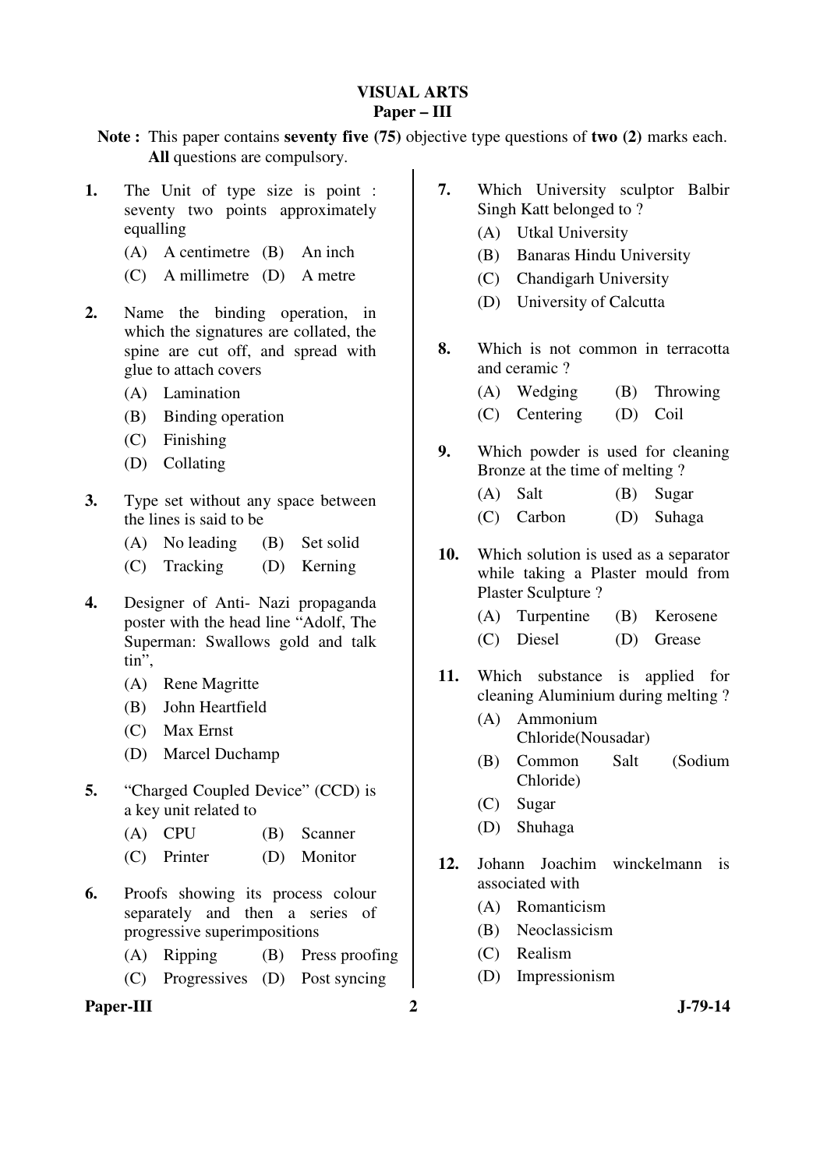# **VISUAL ARTS Paper – III**

**Note :** This paper contains **seventy five (75)** objective type questions of **two (2)** marks each. **All** questions are compulsory.

- **1.** The Unit of type size is point : seventy two points approximately equalling
	- (A) A centimetre (B) An inch
	- (C) A millimetre (D) A metre
- **2.** Name the binding operation, in which the signatures are collated, the spine are cut off, and spread with glue to attach covers
	- (A) Lamination
	- (B) Binding operation
	- (C) Finishing
	- (D) Collating
- **3.** Type set without any space between the lines is said to be
	- (A) No leading (B) Set solid
	- (C) Tracking (D) Kerning
- **4.** Designer of Anti- Nazi propaganda poster with the head line "Adolf, The Superman: Swallows gold and talk tin",
	- (A) Rene Magritte
	- (B) John Heartfield
	- (C) Max Ernst
	- (D) Marcel Duchamp
- **5.** "Charged Coupled Device" (CCD) is a key unit related to
	- (A) CPU (B) Scanner
	- (C) Printer (D) Monitor
- **6.** Proofs showing its process colour separately and then a series of progressive superimpositions
	- (A) Ripping (B) Press proofing
	- (C) Progressives (D) Post syncing

# Paper-III 2 J-79-14

- **7.** Which University sculptor Balbir Singh Katt belonged to ?
	- (A) Utkal University
	- (B) Banaras Hindu University
	- (C) Chandigarh University
	- (D) University of Calcutta
- **8.** Which is not common in terracotta and ceramic ?
	- (A) Wedging (B) Throwing
	- (C) Centering (D) Coil
- **9.** Which powder is used for cleaning Bronze at the time of melting ?
	- (A) Salt (B) Sugar
		- (C) Carbon (D) Suhaga
- **10.** Which solution is used as a separator while taking a Plaster mould from Plaster Sculpture ?
	- (A) Turpentine (B) Kerosene
	- (C) Diesel (D) Grease
- **11.** Which substance is applied for cleaning Aluminium during melting ?
	- (A) Ammonium Chloride(Nousadar)
	- (B) Common Salt (Sodium Chloride)
	- (C) Sugar
	- (D) Shuhaga
- **12.** Johann Joachim winckelmann is associated with
	- (A) Romanticism
	- (B) Neoclassicism
	- (C) Realism
	- (D) Impressionism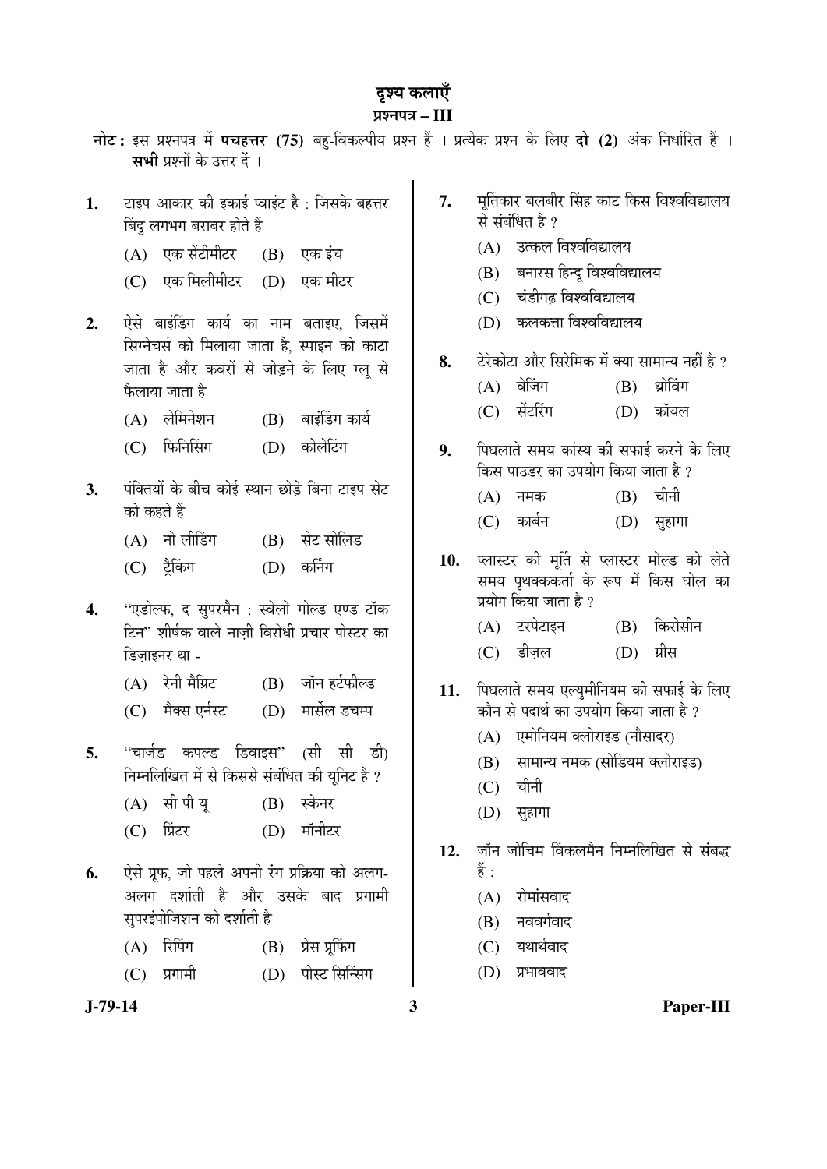# दृश्य कलाएँ

# ¯ÖÏ¿®Ö¯Ö¡Ö **– III**

- **नोट:** इस प्रश्नपत्र में **पचहत्तर (75)** बहु-विकल्पीय प्रश्न हैं । प्रत्येक प्रश्न के लिए **दो (2)** अंक निर्धारित हैं । सभी प्रश्नों के उत्तर दें ।
- 1. टाइप आकार की इकाई प्वाइंट है : जिसके बहत्तर बिंद लगभग बराबर होते हैं
	- $(A)$  एक सेंटीमीटर  $(B)$  एक इंच
	- (C) एक मिलीमीटर (D) एक मीटर
- 2. ऐसे बाइंडिंग कार्य का नाम बताइए. जिसमें सिग्नेचर्स को मिलाया जाता है, स्पाइन को काटा <u>जाता है और कवरों से जोड़ने के लिए ग्लू से</u> फैलाया जाता है
	- $(A)$  लेमिनेशन  $(B)$  बाइंडिंग कार्य
	- (C) फिनिसिंग (D) कोलेटिंग
- 3. पंक्तियों के बीच कोई स्थान छोड़े बिना टाइप सेट को कहते हैं
	- (A) नो लीडिंग (B) सेट सोलिड
	- (C) ट्रैकिंग (D) कर्निंग
- 4. "एडोल्फ, द सुपरमैन : स्वेलो गोल्ड एण्ड टॉक टिन" शीर्षक वाले नाजी विरोधी प्रचार पोस्टर का डिजाइनर था -
	- $(A)$  रेनी मैग्निट  $(B)$  जॉन हर्टफील्ड
	- (C) मैक्स एर्नस्ट (D) मार्सेल डचम्प
- **5.** "चार्जड कपल्ड डिवाइस" (सी सी डी) निम्नलिखित में से किससे संबंधित की युनिट है ?
	- (A) सी पी यु (B) स्केनर
	- (C) प्रिंटर (D) मॉनीटर
- 6. <u>ऐसे प्रफ. जो पहले अपनी रंग प्रक्रिया को अलग-</u> अलग दर्शाती है और उसके बाद प्रगामी सपरइंपोजिशन को दर्शाती है
	- $(A)$  रिपिंग  $(B)$  प्रेस प्रूफिंग
	- (C) प्रगामी (D) पोस्ट सिन्सिंग
- 
- 7. मुर्तिकार बलबीर सिंह काट किस विश्वविद्यालय से संबंधित है ?
	- $(A)$  उत्कल विश्वविद्यालय
	- (B) बनारस हिन्दु विश्वविद्यालय
	- (C) चंडीगढ विश्वविद्यालय
	- $(D)$  कलकत्ता विश्वविद्यालय
- 8. Ö टेरेकोटा और सिरेमिक में क्या सामान्य नहीं है ?
	- $(A)$  वेजिंग  $(B)$  थ्रोविंग
	- (C) सेंटरिंग (D) कॉयल
- 9. पिघलाते समय कांस्य की सफाई करने के लिए किस पाउडर का उपयोग किया जाता है ?
	- $(A)$  नमक  $(B)$  चीनी
	- (C) ÛúÖ²ÖÔ®Ö (D) ÃÖãÆüÖÝÖÖ
- 10. प्लास्टर की मूर्ति से प्लास्टर मोल्ड को लेते समय पृथक्ककर्ता के रूप में किस घोल का प्रयोग किया जाता है ?
	- (A) टरपेटाइन (B) किरोसीन
	- (C) डीज़ल (D) ग्रीस
- 11. पिघलाते समय एल्युमीनियम की सफाई के लिए कौन से पदार्थ का उपयोग किया जाता है ?
	- (A) एमोनियम क्लोराइड (नौसादर)
	- (B) सामान्य नमक (सोडियम क्लोराइड)
	- $(C)$  चीनी
	- (D) सुहागा
- 12. जॉन जोचिम विंकलमैन निम्नलिखित से संबद्ध हैं :
	- $(A)$  रोमांसवाद
	- $(B)$  नववर्गवाद
	- $(C)$  यथार्थवाद
	- (D) प्रभाववाद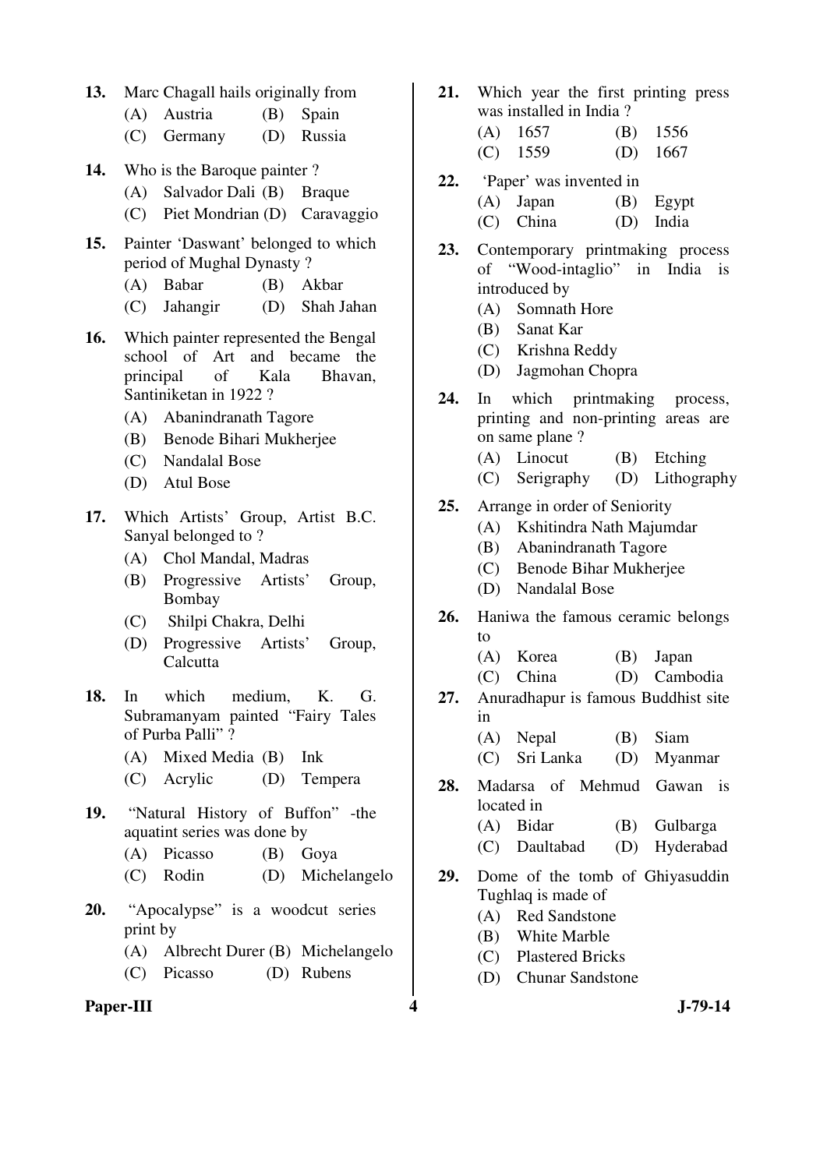- **13.** Marc Chagall hails originally from
	- (A) Austria (B) Spain
	- (C) Germany (D) Russia
- **14.** Who is the Baroque painter ?
	- (A) Salvador Dali (B) Braque
	- (C) Piet Mondrian (D) Caravaggio
- **15.** Painter 'Daswant' belonged to which period of Mughal Dynasty ?
	- (A) Babar (B) Akbar
	- (C) Jahangir (D) Shah Jahan
- **16.** Which painter represented the Bengal school of Art and became the principal of Kala Bhavan, Santiniketan in 1922 ?
	- (A) Abanindranath Tagore
	- (B) Benode Bihari Mukherjee
	- (C) Nandalal Bose
	- (D) Atul Bose
- **17.** Which Artists' Group, Artist B.C. Sanyal belonged to ?
	- (A) Chol Mandal, Madras
	- (B) Progressive Artists' Group, Bombay
	- (C) Shilpi Chakra, Delhi
	- (D) Progressive Artists' Group, Calcutta
- **18.** In which medium, K. G. Subramanyam painted "Fairy Tales of Purba Palli" ?
	- (A) Mixed Media (B) Ink
	- (C) Acrylic (D) Tempera
- **19.** "Natural History of Buffon" -the aquatint series was done by
	- (A) Picasso (B) Goya
	- (C) Rodin (D) Michelangelo
- **20.** "Apocalypse" is a woodcut series print by
	- (A) Albrecht Durer (B) Michelangelo
	- (C) Picasso (D) Rubens
- Paper-III **4** J-79-14
- **21.** Which year the first printing press was installed in India ?
	- (A) 1657 (B) 1556
	- (C) 1559 (D) 1667
- **22.** 'Paper' was invented in
	- (A) Japan (B) Egypt (C) China (D) India
- **23.** Contemporary printmaking process of "Wood-intaglio" in India is introduced by
	- (A) Somnath Hore
	- (B) Sanat Kar
	- (C) Krishna Reddy
	- (D) Jagmohan Chopra
- **24.** In which printmaking process, printing and non-printing areas are on same plane ?
	- (A) Linocut (B) Etching
	- (C) Serigraphy (D) Lithography
- **25.** Arrange in order of Seniority
	- (A) Kshitindra Nath Majumdar
	- (B) Abanindranath Tagore
	- (C) Benode Bihar Mukherjee
	- (D) Nandalal Bose
- **26.** Haniwa the famous ceramic belongs to
	- (A) Korea (B) Japan
	- (C) China (D) Cambodia
- **27.** Anuradhapur is famous Buddhist site in
	- (A) Nepal (B) Siam
	- (C) Sri Lanka (D) Myanmar
- **28.** Madarsa of Mehmud Gawan is located in
	- (A) Bidar (B) Gulbarga
	- (C) Daultabad (D) Hyderabad
- **29.** Dome of the tomb of Ghiyasuddin Tughlaq is made of
	- (A) Red Sandstone
	- (B) White Marble
	- (C) Plastered Bricks
	- (D) Chunar Sandstone
-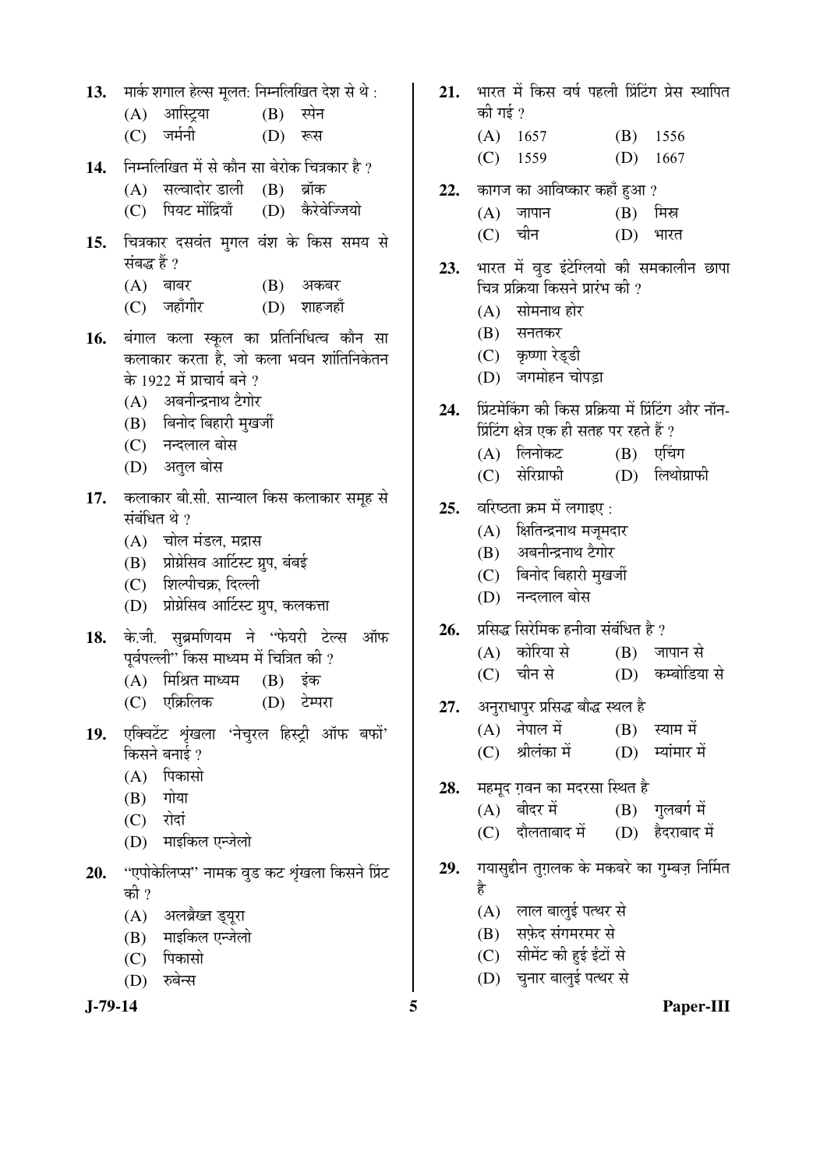**J-79-14 5 Paper-III** 13. THE शगाल हेल्स मूलत: निम्नलिखित देश से थे : (A) आस्ट्रिया (B) स्पेन (C) जर्मनी (D) रूस 14. Fiम्नलिखित में से कौन सा बेरोक चित्रकार है ? (A) सल्वादोर डाली (B) ब्रॉक (C) पियट मोंद्रियाँ (D) कैरेवेज्जियो 15. चित्रकार दसवंत मृगल वंश के किस समय से संबद्ध हैं ?  $(A)$  बाबर  $(B)$  अकबर (C) जहाँगीर (D) शाहजहाँ 16. बंगाल कला स्कूल का प्रतिनिधित्व कौन सा कलाकार करता है, जो कला भवन शांतिनिकेतन के 1922 में प्राचार्य बने ? (A) अबनीन्द्रनाथ टैगोर (B) बिनोद बिहारी मुखर्जी (C) नन्दलाल बोस (D) अतल बोस 17. कलाकार बी.सी. सान्याल किस कलाकार समूह से संबंधित थे  $\overline{v}$  $(A)$  चोल मंडल, मद्रास (B) प्रोग्रेसिव आर्टिस्ट ग्रुप, बंबई (C) शिल्पीचक्र, दिल्ली (D) प्रोग्रेसिव आर्टिस्ट ग्रुप, कलकत्ता 18. के.जी. सुब्रमणियम ने "फेयरी टेल्स ऑफ पर्वपल्ली $\cdots$ किस माध्यम में चित्रित की ?  $(A)$  मिश्रित माध्यम  $(B)$  इंक (C) एक्रिलिक (D) टेम्परा 19. एक्विटेंट शृंखला 'नेचुरल हिस्ट्री ऑफ बफों' किसने बनाई ?  $(A)$  पिकासो  $(B)$  गोया  $(C)$  रोदां (D) माइकिल एन्जेलो 20. "एपोकेलिप्स" नामक वड कट शृंखला किसने प्रिंट की ? (A) अलब्रैख्त ड्यूरा (B) माइकिल एन्जेलो (C) पिकासो (D) रुबेन्स

21. भारत में किस वर्ष पहली प्रिंटिंग प्रेस स्थापित की गई  $\overline{?}$ (A) 1657 (B) 1556 (C) 1559 (D) 1667 22. कागज का आविष्कार कहाँ हुआ ?  $(A)$  जापान  $(B)$  मिस्र (C) चीन (D) भारत 23. भारत में वुड इंटेग्लियो की समकालीन छापा चित्र प्रक्रिया किसने प्रारंभ की ?  $(A)$  सोमनाथ होर  $(B)$  सनतकर (C) कृष्णा रेड्डी  $(D)$  जगमोहन चोपडा 24. प्रिंटमेकिंग की किस प्रक्रिया में प्रिंटिंग और नॉन-<u>प्रिंटिंग क्षेत्र एक ही सतह पर रहते हैं</u> ? (A) लिनोकट (B) एचिंग (C) सेरिग्राफी (D) लिथोग्राफी 25. वरिष्ठता क्रम में लगाइए : (A) क्षितिन्द्रनाथ मजूमदार (B) अबनीन्द्रनाथ टैगोर (C) बिनोद बिहारी मुखर्जी (D) नन्दलाल बोस 26. प्रसिद्ध सिरेमिक हनीवा संबंधित है ?  $(A)$  कोरिया से  $(B)$  जापान से (C) चीन से (D) कम्बोडिया से 27. अनुराधापुर प्रसिद्ध बौद्ध स्थल है  $(A)$  नेपाल में  $(B)$  स्याम में (C) श्रीलंका में (D) म्यांमार में 28. HE ER TIEH THE THE THE THE THE 28.  $(A)$  बीदर में  $(B)$  गुलबर्ग में (C) दौलताबाद में (D) हैदराबाद में 29. गयासुद्दीन तुग़लक के मकबरे का गुम्बज़ निर्मित है (A) लाल बालुई पत्थर से (B) सफेद संगमरमर से (C) सीमेंट की हई ईंटों से (D) चुनार बालुई पत्थर से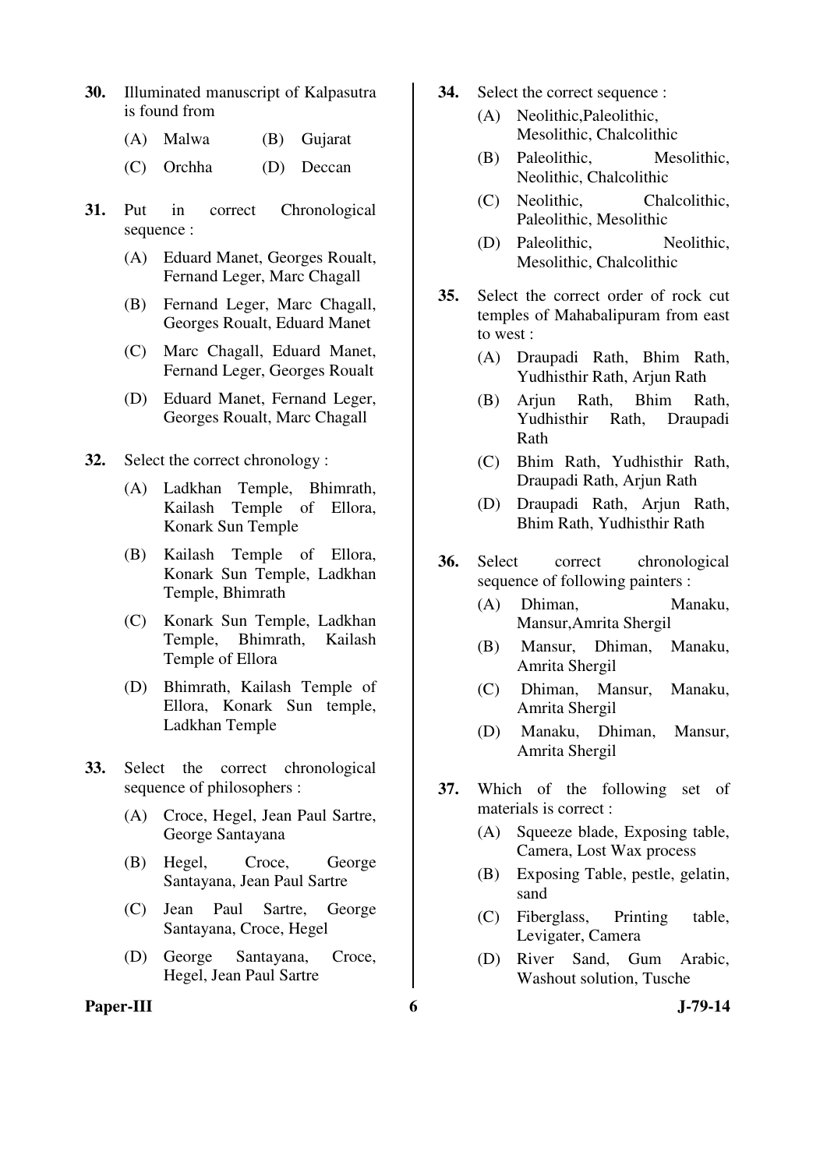- **30.** Illuminated manuscript of Kalpasutra is found from
	- (A) Malwa (B) Gujarat
	- (C) Orchha (D) Deccan
- **31.** Put in correct Chronological sequence :
	- (A) Eduard Manet, Georges Roualt, Fernand Leger, Marc Chagall
	- (B) Fernand Leger, Marc Chagall, Georges Roualt, Eduard Manet
	- (C) Marc Chagall, Eduard Manet, Fernand Leger, Georges Roualt
	- (D) Eduard Manet, Fernand Leger, Georges Roualt, Marc Chagall

**32.** Select the correct chronology :

- (A) Ladkhan Temple, Bhimrath, Kailash Temple of Ellora, Konark Sun Temple
- (B) Kailash Temple of Ellora, Konark Sun Temple, Ladkhan Temple, Bhimrath
- (C) Konark Sun Temple, Ladkhan Temple, Bhimrath, Kailash Temple of Ellora
- (D) Bhimrath, Kailash Temple of Ellora, Konark Sun temple, Ladkhan Temple
- **33.** Select the correct chronological sequence of philosophers :
	- (A) Croce, Hegel, Jean Paul Sartre, George Santayana
	- (B) Hegel, Croce, George Santayana, Jean Paul Sartre
	- (C) Jean Paul Sartre, George Santayana, Croce, Hegel
	- (D) George Santayana, Croce, Hegel, Jean Paul Sartre

#### Paper-III 6 J-79-14

- **34.** Select the correct sequence :
	- (A) Neolithic,Paleolithic, Mesolithic, Chalcolithic
	- (B) Paleolithic, Mesolithic, Neolithic, Chalcolithic
	- (C) Neolithic, Chalcolithic, Paleolithic, Mesolithic
	- (D) Paleolithic, Neolithic, Mesolithic, Chalcolithic
- **35.** Select the correct order of rock cut temples of Mahabalipuram from east to west :
	- (A) Draupadi Rath, Bhim Rath, Yudhisthir Rath, Arjun Rath
	- (B) Arjun Rath, Bhim Rath, Yudhisthir Rath, Draupadi Rath
	- (C) Bhim Rath, Yudhisthir Rath, Draupadi Rath, Arjun Rath
	- (D) Draupadi Rath, Arjun Rath, Bhim Rath, Yudhisthir Rath
- **36.** Select correct chronological sequence of following painters :
	- (A) Dhiman, Manaku, Mansur,Amrita Shergil
	- (B) Mansur, Dhiman, Manaku, Amrita Shergil
	- (C) Dhiman, Mansur, Manaku, Amrita Shergil
	- (D) Manaku, Dhiman, Mansur, Amrita Shergil
- **37.** Which of the following set of materials is correct :
	- (A) Squeeze blade, Exposing table, Camera, Lost Wax process
	- (B) Exposing Table, pestle, gelatin, sand
	- (C) Fiberglass, Printing table, Levigater, Camera
	- (D) River Sand, Gum Arabic, Washout solution, Tusche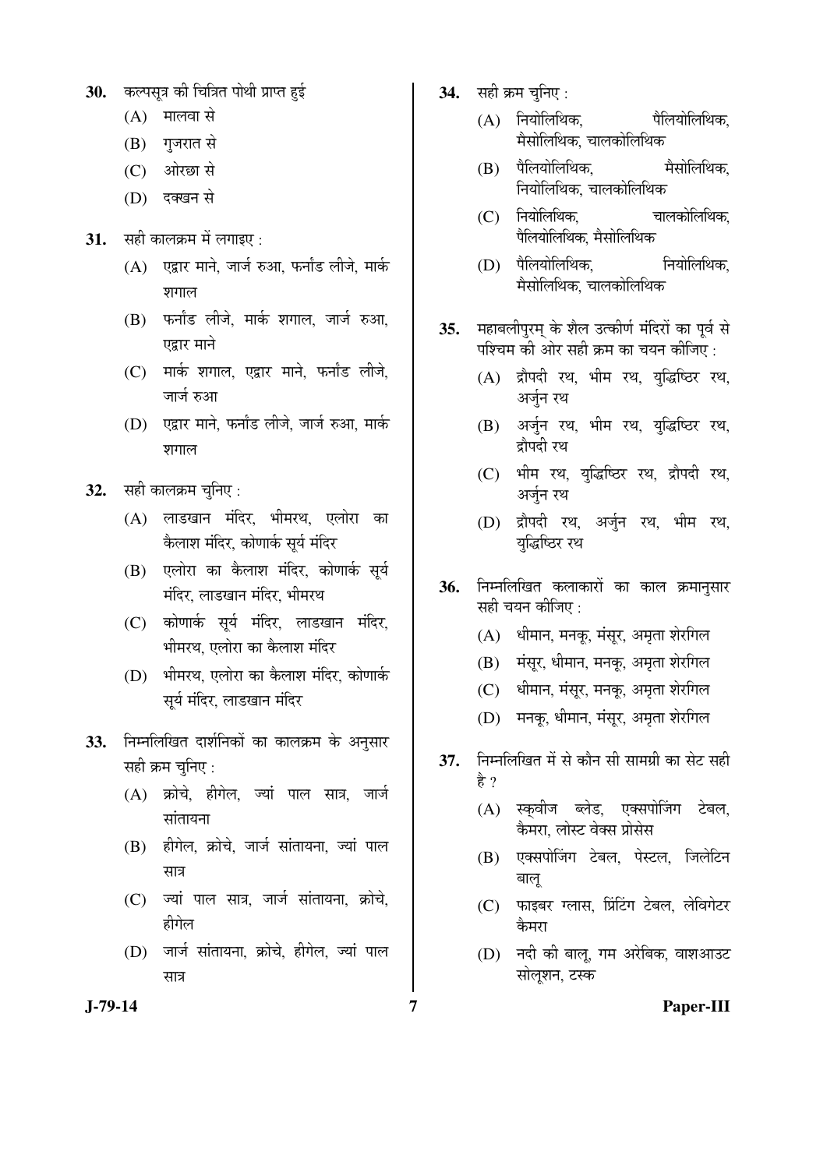- 30. कल्पसूत्र की चित्रित पोथी प्राप्त हई
	- $(A)$  मालवा से
	- (B) गुजरात से
	- (C) ओरछा से
	- (D) दक्खन से
- 31. सही कालक्रम में लगाइए :
	- $(A)$  एद्वार माने, जार्ज रुआ, फर्नांड लीजे, मार्क शगाल
	- $(B)$  फर्नांड लीजे, मार्क शगाल, जार्ज रुआ, एद्रार माने
	- (C) गार्क शगाल, एद्वार माने, फर्नांड लीजे, जार्ज रुआ
	- (D) एद्वार माने, फर्नांड लीजे, जार्ज रुआ, मार्क शगाल
- **32.** सही कालक्रम चुनिए :
	- (A) लाडखान मंदिर, भीमरथ, एलोरा का केलाश मंदिर, कोणार्क सूर्य मंदिर
	- (B) एलोरा का कैलाश मंदिर, कोणार्क सूर्य मंदिर, लाडखान मंदिर, भीमरथ
	- (C) कोणार्क सुर्य मंदिर, लाडखान मंदिर, भीमरथ. एलोरा का कैलाश मंदिर
	- (D) भीमरथ, एलोरा का कैलाश मंदिर, कोणार्क सूर्य मंदिर, लाडखान मंदिर
- 33. निम्नलिखित दार्शनिकों का कालक्रम के अनुसार सही क्रम चनिए :
	- $(A)$  क्रोचे, हीगेल, ज्यां पाल सात्र, जार्ज  $\overline{a}$ ididad
	- (B) हीगेल, क्रोचे, जार्ज सांतायना, ज्यां पाल सात्र
	- (C) ज्यों पाल सात्र, जार्ज सांतायना, क्रोचे, हीगेल
	- (D) जार्ज सांतायना, क्रोचे, हीगेल, ज्यां पाल सात्र
- **34.** सही क्रम चुनिए :
	- $(A)$  नियोलिथिक,  $\ddot{a}$ पैलियोलिथिक. मैसोलिथिक, चालकोलिथिक
	- (B) पैलियोलिथिक, सैसोलिथिक, <u>नियोलिथिक, चालकोलिथिक</u>
	- (C) नियोलिथिक, चालकोलिथिक, पैलियोलिथिक, मैसोलिथिक
	- (D) पैलियोलिथिक, नियोलिथिक, मैसोलिथिक. चालकोलिथिक
- 35. महाबलीपुरम् के शैल उत्कीर्ण मंदिरों का पूर्व से पश्चिम की ओर सही क्रम का चयन कीजिए :
	- (A) द्रौपदी रथ, भीम रथ, युद्धिष्ठिर रथ, अर्जन रथ
	- (B) अर्जुन रथ, भीम रथ, युद्धिष्ठिर रथ, द्रौपदी रथ
	- (C) भीम रथ, युद्धिष्ठिर रथ, द्रौपदी रथ, अर्जुन रथ
	- (D) द्रौपदी रथ, अर्जुन रथ, भीम रथ, युद्धिष्ठिर रथ
- 36. निम्नलिखित कलाकारों का काल क्रमानुसार सही चयन कीजिए :
	- $(A)$  धीमान, मनकू, मंसुर, अमृता शेरगिल
	- (B) मंसुर, धीमान, मनकू, अमृता शेरगिल
	- (C) धीमान, मंसूर, मनकू, अमृता शेरगिल
	- (D) मनकू, धीमान, मंसूर, अमृता शेरगिल
- **37.** ×®Ö´®Ö×»Ö×ÜÖŸÖ ´Öë ÃÖê ÛúÖî®Ö ÃÖß ÃÖÖ´ÖÝÖÏß ÛúÖ ÃÖê™ü ÃÖÆüß है ?
	- (A) स्कवीज ब्लेड, एक्सपोजिंग टेबल, कैमरा, लोस्ट वेक्स प्रोसेस
	- (B) एक्सपोजिंग टेबल, पेस्टल, जिलेटिन बाल
	- (C) फाइबर ग्लास, प्रिंटिंग टेबल, लेविगेटर कैमरा
	- (D) नदी की बालू, गम अरेबिक, वाशआउट सोलशन, टस्क

**J-79-14 7 Paper-III**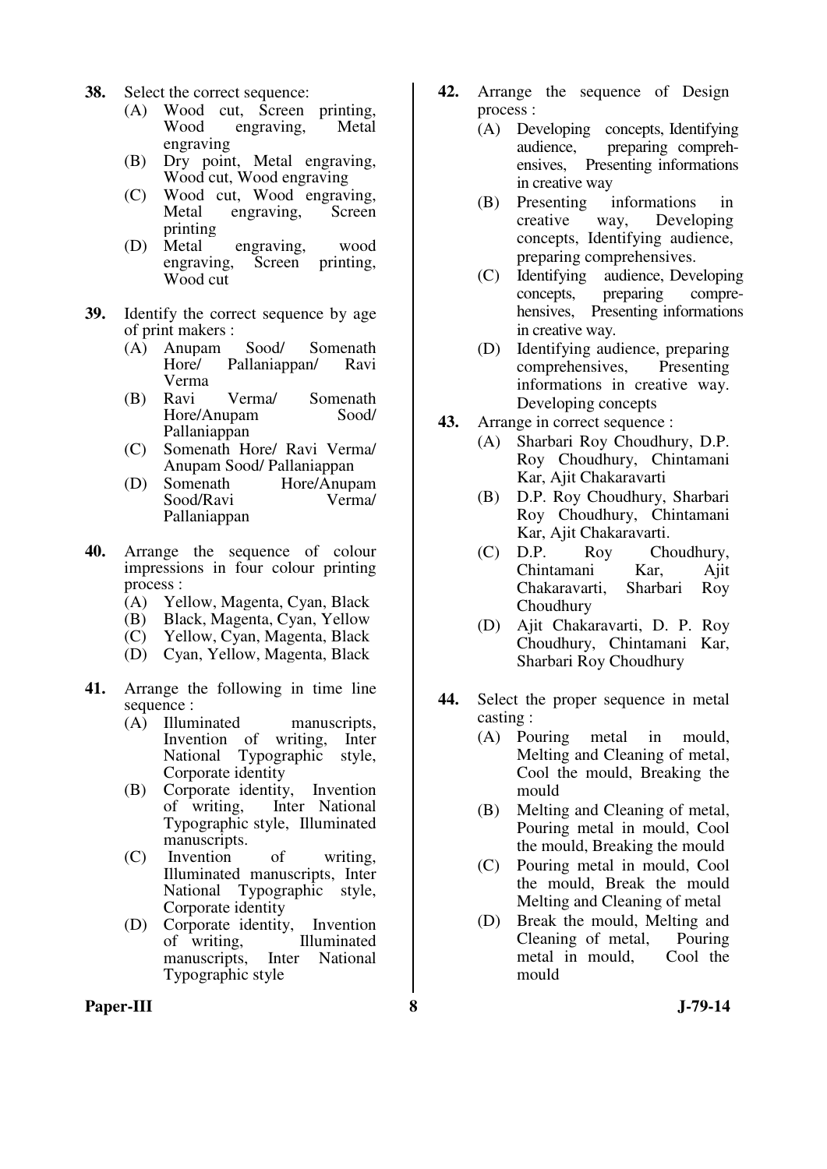- **38.** Select the correct sequence:
	- (A) Wood cut, Screen printing, engraving, engraving
	- (B) Dry point, Metal engraving, Wood cut, Wood engraving
	- (C) Wood cut, Wood engraving, Metal engraving, Screen printing
	- (D) Metal engraving, wood<br>engraving, Screen printing, engraving. Wood cut
- **39.** Identify the correct sequence by age of print makers :
	- (A) Anupam Sood/ Somenath Pallaniappan/ Verma
	- (B) Ravi Verma/ Somenath Hore/Anupam Pallaniappan
	- (C) Somenath Hore/ Ravi Verma/ Anupam Sood/ Pallaniappan
	- (D) Somenath Hore/Anupam<br>Sood/Ravi Vermal Sood/Ravi Pallaniappan
- **40.** Arrange the sequence of colour impressions in four colour printing process :
	- (A) Yellow, Magenta, Cyan, Black
	- (B) Black, Magenta, Cyan, Yellow
	- (C) Yellow, Cyan, Magenta, Black
	- (D) Cyan, Yellow, Magenta, Black
- **41.** Arrange the following in time line sequence :<br>(A) Illuminated
	- manuscripts. Invention of writing, Inter National Typographic style, Corporate identity
	- (B) Corporate identity, Invention of writing, Inter National Typographic style, Illuminated manuscripts.
	- (C) Invention of writing, Illuminated manuscripts, Inter National Typographic style, Corporate identity
	- (D) Corporate identity, Invention of writing, Illuminated manuscripts, Inter National Typographic style
- **42.** Arrange the sequence of Design process :
	- (A) Developing concepts, Identifying<br>audience. preparing comprehpreparing comprehensives, Presenting informations in creative way
	- (B) Presenting informations in creative way, Developing concepts, Identifying audience, preparing comprehensives.
	- (C) Identifying audience, Developing concepts, preparing comprehensives, Presenting informations in creative way.
	- (D) Identifying audience, preparing comprehensives, Presenting informations in creative way. Developing concepts
- **43.** Arrange in correct sequence :
	- (A) Sharbari Roy Choudhury, D.P. Roy Choudhury, Chintamani Kar, Ajit Chakaravarti
	- (B) D.P. Roy Choudhury, Sharbari Roy Choudhury, Chintamani Kar, Ajit Chakaravarti.
	- (C) D.P. Roy Choudhury, Chintamani Kar, Ajit Chakaravarti, Sharbari Roy Choudhury
	- (D) Ajit Chakaravarti, D. P. Roy Choudhury, Chintamani Kar, Sharbari Roy Choudhury
- **44.** Select the proper sequence in metal casting :
	- (A) Pouring metal in mould, Melting and Cleaning of metal, Cool the mould, Breaking the mould
	- (B) Melting and Cleaning of metal, Pouring metal in mould, Cool the mould, Breaking the mould
	- (C) Pouring metal in mould, Cool the mould, Break the mould Melting and Cleaning of metal
	- (D) Break the mould, Melting and Cleaning of metal, Pouring metal in mould, Cool the mould

#### **Paper-III 8 J-79-14**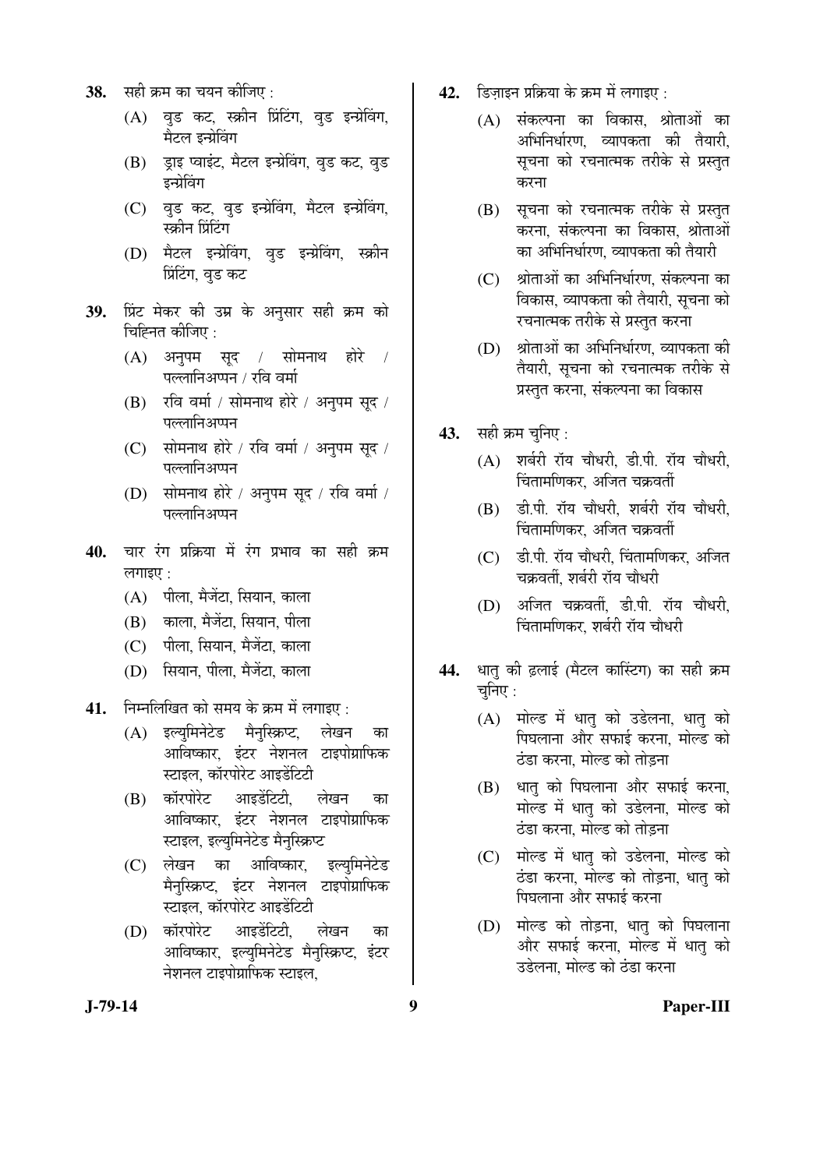- **38.** सही क्रम का चयन कीजिए :
	- (A) वृड कट, स्क्रीन प्रिंटिंग, वृड इन्प्रेविंग, मैटल इन्ग्रेविंग
	- $(B)$  डाइ प्वाइंट, मैटल इन्ग्रेविंग, वड कट, वड डन्ग्रेविंग
	- (C) वुड कट, वुड इन्प्रेविंग, मैटल इन्प्रेविंग. स्कीन प्रिंटिंग
	- (D) मैटल इन्प्रेविंग, वुड इन्प्रेविंग, स्क्रीन <u>प्रिंटिंग, व</u>ुड कट
- 39. प्रिंट मेकर की उम्र के अनुसार सही क्रम को चिह्नित कीजिए :
	- $(A)$  अनुपम सुद / सोमनाथ होरे / पल्लानिअप्पन / रवि वर्मा
	- $(B)$  रवि वर्मा / सोमनाथ होरे / अनुपम सुद / पल्लानिअप्पन
	- $(C)$  सोमनाथ होरे / रवि वर्मा / अनुपम सुद / पल्लानिअप्पन
	- (D) सोमनाथ होरे / अनुपम सुद / रवि वर्मा / पल्लानिअप्पन
- 40. चार रंग प्रक्रिया में रंग प्रभाव का सही क्रम लगाइए $\cdot$ 
	- (A) पीला, मैजेंटा, सियान, काला
	- (B) काला, मैजेंटा, सियान, पीला
	- (C) पीला, सियान, मैजेंटा, काला
	- (D) सियान, पीला, मैजेंटा, काला
- **41.** निम्नलिखित को समय के क्रम में लगाइए :
	- (A) इल्युमिनेटेड मैनुस्क्रिप्ट, लेखन का आविष्कार, इंटर नेशनल टाइपोग्राफिक स्टाइल, कॉरपोरेट आइडेंटिटी
	- (B) कॉरपोरेट आइडेंटिटी. लेखन का आविष्कार, इंटर नेशनल टाइपोग्राफिक स्टाइल, इल्युमिनेटेड मैनुस्क्रिप्ट
	- (C) लेखन का आविष्कार, इल्युमिनेटेड मैनुस्क्रिप्ट, इंटर नेशनल टाइपोग्राफिक स्टाइल, कॉरपोरेट आइडेंटिटी
	- (D) कॉरपोरेट आइडेंटिटी, लेखन का आविष्कार, इल्युमिनेटेड मैनुस्क्रिप्ट, इंटर नेशनल टाइपोग्राफिक स्टाइल.
- 42. *डिजाइन प्रक्रिया के क्रम में लगाइए*:
	- $(A)$  संकल्पना का विकास, श्रोताओं का अभिनिर्धारण, व्यापकता की तैयारी, सूचना को रचनात्मक तरीके से प्रस्तुत करना
	- $(B)$  सचना को रचनात्मक तरीके से प्रस्तत करना, संकल्पना का विकास, श्रोताओं का अभिनिर्धारण, व्यापकता की तैयारी
	- (C) श्रोताओं का अभिनिर्धारण, संकल्पना का विकास, व्यापकता की तैयारी, सूचना को रचनात्मक तरीके से प्रस्तुत करना
	- (D) श्रोताओं का अभिनिर्धारण, व्यापकता की तैयारी, सूचना को रचनात्मक तरीके से प्रस्तुत करना, संकल्पना का विकास
- **43.** सही क्रम चुनिए :
	- (A) शर्बरी रॉय चौधरी, डी.पी. रॉय चौधरी, चिंतामणिकर, अजित चक्रवर्ती
	- (B) डी.पी. रॉय चौधरी, शर्बरी रॉय चौधरी, चिंतामणिकर, अजित चक्रवर्ती
	- $(C)$  डी.पी. रॉय चौधरी. चिंतामणिकर. अजित चक्रवर्ती. शर्बरी रॉय चौधरी
	- (D) अजित चक्रवर्ती, डी.पी. रॉय चौधरी, चिंतामणिकर. शर्बरी रॉय चौधरी
- 44. धातु की ढ़लाई (मैटल कास्टिंग) का सही क्रम चुनिए $:$ 
	- (A) गोल्ड में धातु को उडेलना, धातु को पिघलाना और सफाई करना. मोल्ड को <u>ठंडा करना. मोल्ड को तोडना</u>
	- $(B)$  धात् को पिघलाना और सफाई करना, मोल्ड में धातु को उडेलना, मोल्ड को <u>ठंडा करना. मोल्ड को तोडना</u>
	- (C) गोल्ड में धात को उडेलना. मोल्ड को <u>ठंडा करना. मोल्ड को तोडना. धात को</u> पिघलाना और सफाई करना
	- (D) मोल्ड को तोड़ना, धातु को पिघलाना ओर सफाई करना, मोल्ड में धात को उडेलना. मोल्ड को ठंडा करना

#### **J-79-14 9 Paper-III**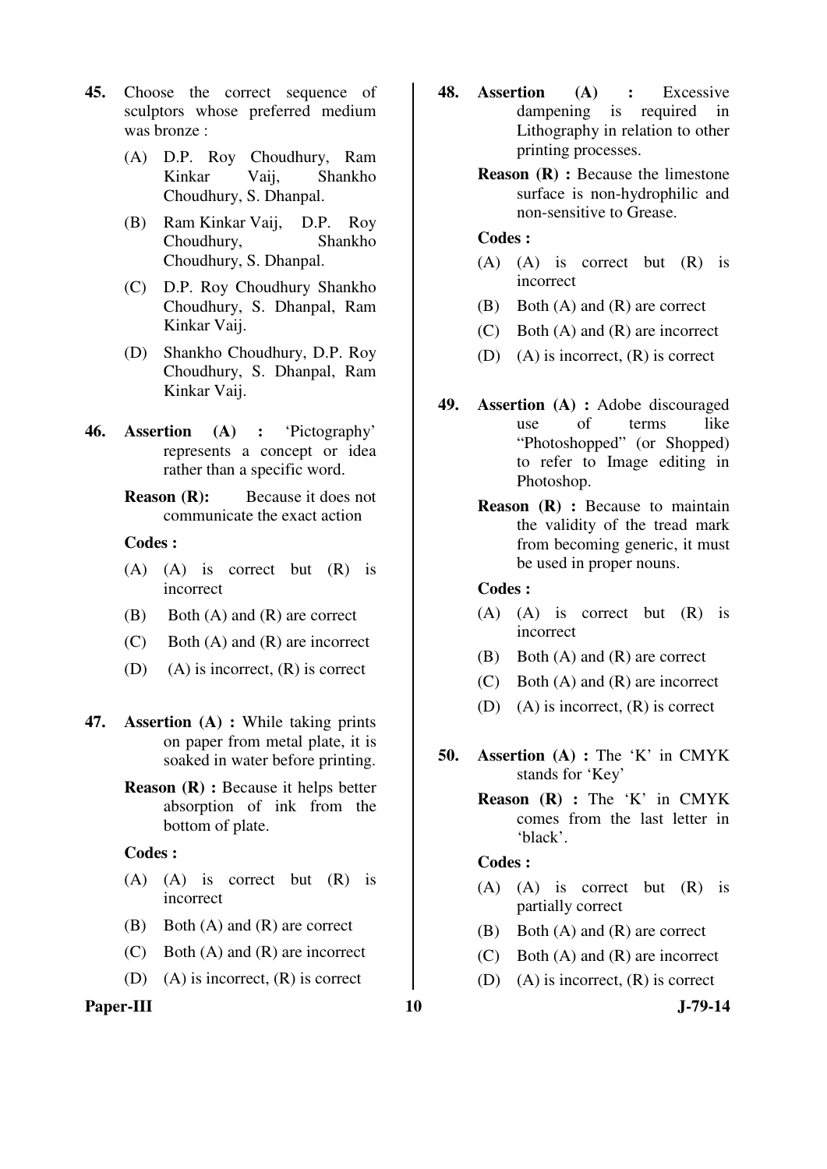- **45.** Choose the correct sequence of sculptors whose preferred medium was bronze :
	- (A) D.P. Roy Choudhury, Ram Kinkar Vaij, Shankho Choudhury, S. Dhanpal.
	- (B) Ram Kinkar Vaij, D.P. Roy Choudhury, Shankho Choudhury, S. Dhanpal.
	- (C) D.P. Roy Choudhury Shankho Choudhury, S. Dhanpal, Ram Kinkar Vaij.
	- (D) Shankho Choudhury, D.P. Roy Choudhury, S. Dhanpal, Ram Kinkar Vaij.
- **46. Assertion (A) :** 'Pictography' represents a concept or idea rather than a specific word.
	- **Reason (R):** Because it does not communicate the exact action

#### **Codes :**

- (A) (A) is correct but (R) is incorrect
- (B) Both (A) and (R) are correct
- (C) Both (A) and (R) are incorrect
- (D) (A) is incorrect,  $(R)$  is correct
- **47. Assertion (A) :** While taking prints on paper from metal plate, it is soaked in water before printing.
	- **Reason (R) :** Because it helps better absorption of ink from the bottom of plate.

#### **Codes :**

- (A) (A) is correct but (R) is incorrect
- (B) Both (A) and (R) are correct
- (C) Both (A) and (R) are incorrect
- (D) (A) is incorrect,  $(R)$  is correct

# Paper-III 10 J-79-14

- **48. Assertion (A) :** Excessive dampening is required in Lithography in relation to other printing processes.
	- **Reason (R) :** Because the limestone surface is non-hydrophilic and non-sensitive to Grease.

# **Codes :**

- (A) (A) is correct but (R) is incorrect
- (B) Both (A) and (R) are correct
- (C) Both (A) and (R) are incorrect
- (D) (A) is incorrect,  $(R)$  is correct
- **49. Assertion (A) :** Adobe discouraged use of terms like "Photoshopped" (or Shopped) to refer to Image editing in Photoshop.
	- **Reason (R) :** Because to maintain the validity of the tread mark from becoming generic, it must be used in proper nouns.

## **Codes :**

- (A) (A) is correct but (R) is incorrect
- (B) Both (A) and (R) are correct
- (C) Both (A) and (R) are incorrect
- (D) (A) is incorrect, (R) is correct
- **50. Assertion (A) :** The 'K' in CMYK stands for 'Key'
	- **Reason (R) :** The 'K' in CMYK comes from the last letter in 'black'.

#### **Codes :**

- (A) (A) is correct but (R) is partially correct
- (B) Both (A) and (R) are correct
- (C) Both (A) and (R) are incorrect
- (D) (A) is incorrect,  $(R)$  is correct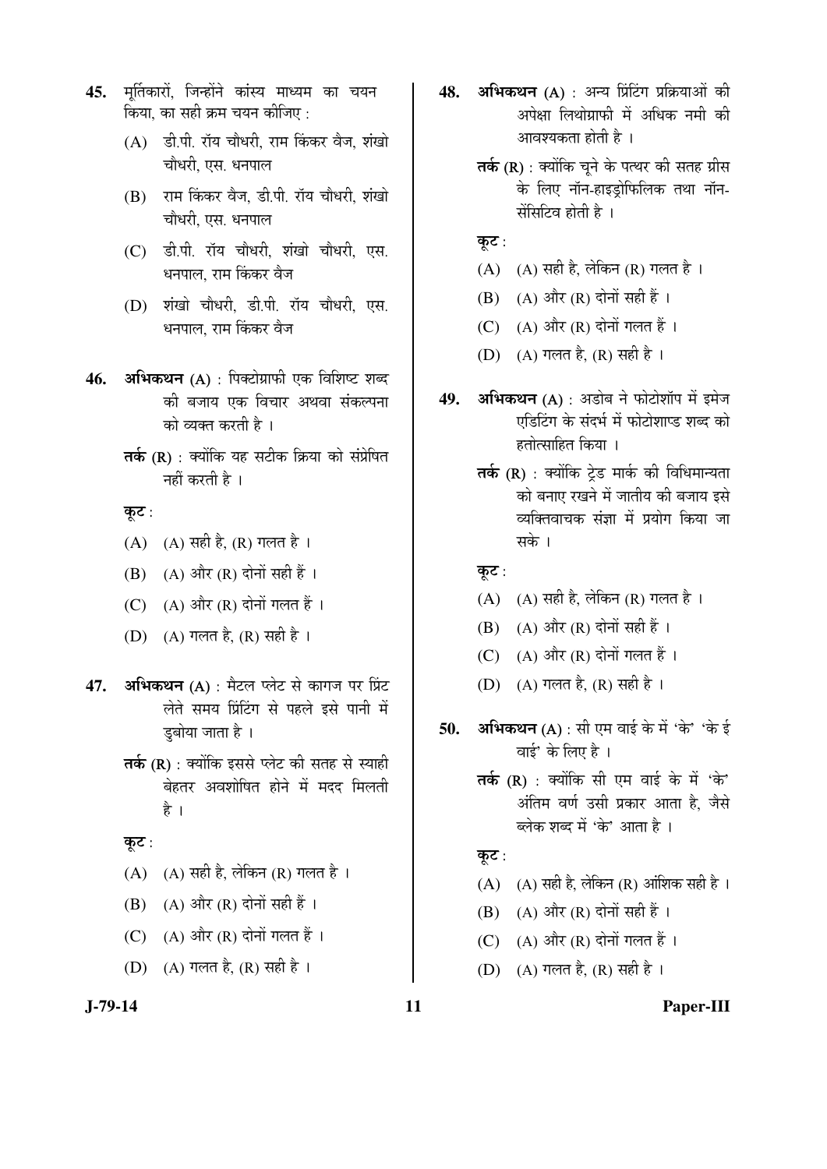- 45. मर्तिकारों, जिन्होंने कांस्य माध्यम का चयन किया, का सही क्रम चयन कीजिए  $\cdot$ 
	- $(A)$  डी.पी. रॉय चौधरी, राम किंकर वैज, शंखो चौधरी. एस. धनपाल
	- (B) राम किंकर वैज, डी.पी. रॉय चौधरी, शंखो चौधरी, एस. धनपाल
	- (C) डी.पी. रॉय चौधरी. शंखो चौधरी. एस. धनपाल. राम किंकर वैज
	- (D) शंखो चौधरी, डी.पी. रॉय चौधरी, एस. धनपाल. राम किंकर वैज
- 46. **अभिकथन** (A) : पिक्टोग्राफी एक विशिष्ट शब्द की बजाय एक विचार अथवा संकल्पना को व्यक्त करती है।
	- $\overline{\mathbf{a}}$ के (R) : क्योंकि यह सटीक क्रिया को संप्रेषित नहीं करती है ।

कूट:

- (A) (A) सही है, (R) गलत है ।
- $(B)$   $(A)$  और  $(R)$  दोनों सही हैं।
- $(C)$   $(A)$  और  $(R)$  दोनों गलत हैं।
- (D)  $(A)$  गलत है,  $(R)$  सही है ।
- **47. अभिकथन (A)** : मैटल प्लेट से कागज पर प्रिंट लेते समय प्रिंटिंग से पहले इसे पानी में डबोया जाता है ।
	- $\overline{\mathsf{a}}$ की (R) : क्योंकि इससे प्लेट की सतह से स्याही बेहतर अवशोषित होने में मदद मिलती है ।

#### कूट $:$

- $(A)$   $(A)$  सही है, लेकिन  $(R)$  गलत है।
- $(B)$   $(A)$  और  $(R)$  दोनों सही हैं ।
- $(C)$   $(A)$  और  $(R)$  दोनों गलत हैं।
- (D) (A) गलत है, (R) सही है ।
- 48. **अभिकथन** (A) : अन्य प्रिंटिंग प्रक्रियाओं की अपेक्षा लिथोग्राफी में अधिक नमी की आवश्यकता होती है $\pm$ ।
	- $\overline{\mathrm{a}}$ के (R) : क्योंकि चने के पत्थर की सतह ग्रीस के लिए नॉन-हाइड़ोफिलिक तथा नॉन-सॅसिटिव होती है ।
	- कुट:
	- (A)  $(A)$  सही है, लेकिन (R) गलत है।
	- $(B)$   $(A)$  और  $(R)$  दोनों सही हैं।
	- (C)  $(A)$  और  $(R)$  दोनों गलत हैं।
	- (D) (A) गलत है, (R) सही है ।
- 49. **अभिकथन** (A) : अडोब ने फोटोशॉप में इमेज एडिटिंग के संदर्भ में फोटोशाप्ड शब्द को हतोत्साहित किया ।
	- $\overline{\mathsf{a}}$ र्क (R) : क्योंकि ट्रेड मार्क की विधिमान्यता को बनाए रखने में जातीय की बजाय इसे व्यक्तिवाचक संज्ञा में प्रयोग किया जा सके ।
	- कूट:
	- $(A)$   $(A)$  सही है, लेकिन  $(R)$  गलत है।
	- $(B)$   $(A)$  और  $(R)$  दोनों सही हैं ।
	- (C)  $(A)$  और  $(R)$  दोनों गलत हैं।
	- (D) (A) गलत है, (R) सही है ।
- 50. अभिकथन (A) : सी एम वाई के में 'के' 'के ई वाई' के लिए है $\,$ ।
	- तर्क (R) : क्योंकि सी एम वाई के में 'के' अंतिम वर्ण उसी प्रकार आता है. जैसे ब्लेक शब्द में 'के' आता है।

# कूट $:$

- $(A)$   $(A)$  सही है, लेकिन  $(R)$  आंशिक सही है।
- $(B)$   $(A)$  और  $(R)$  दोनों सही हैं।
- (C)  $(A)$  और  $(R)$  दोनों गलत हैं।
- (D) (A) गलत है, (R) सही है ।

#### **J-79-14 11 Paper-III**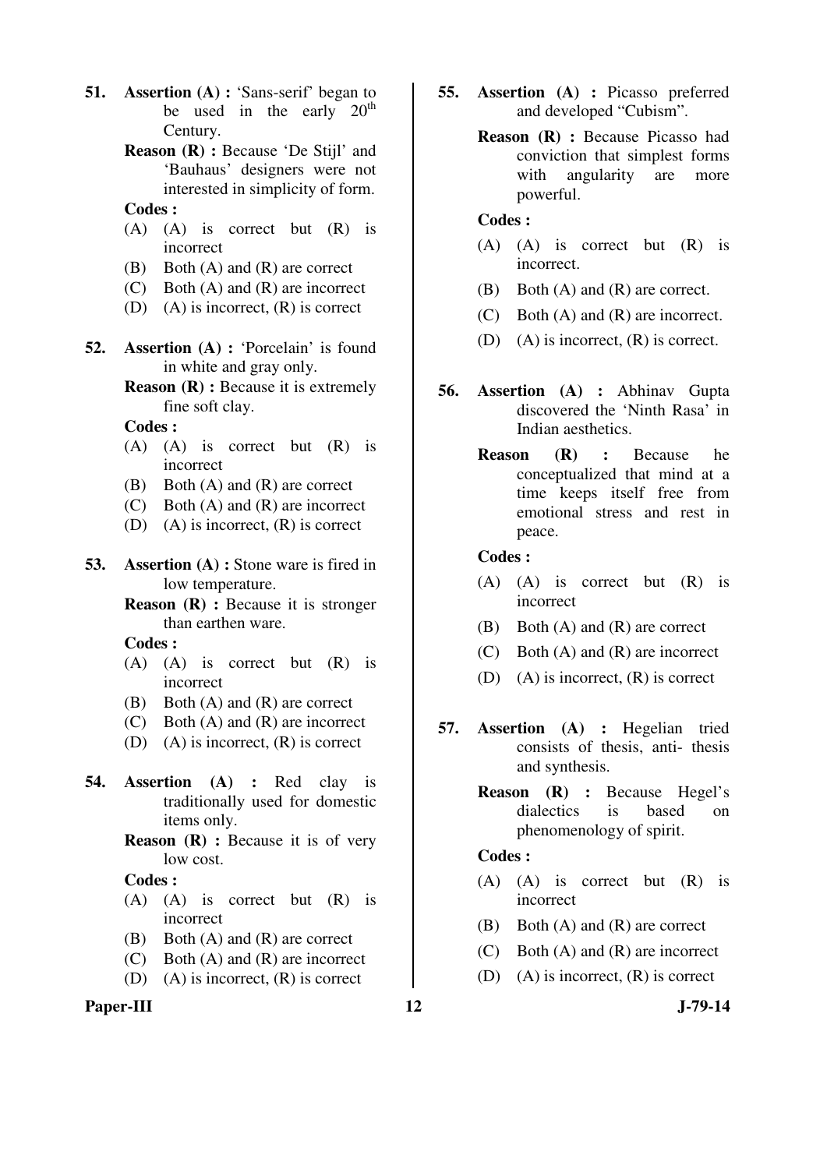- **51. Assertion** (**A**) : 'Sans-serif' began to be used in the early  $20<sup>th</sup>$ Century.
	- **Reason (R) :** Because 'De Stijl' and 'Bauhaus' designers were not interested in simplicity of form.

# **Codes :**

- (A) (A) is correct but (R) is incorrect
- (B) Both (A) and (R) are correct
- (C) Both (A) and (R) are incorrect
- (D) (A) is incorrect,  $(R)$  is correct
- **52. Assertion (A) :** 'Porcelain' is found in white and gray only.
	- **Reason (R) :** Because it is extremely fine soft clay.

 **Codes :**

- (A) (A) is correct but (R) is incorrect
- (B) Both (A) and (R) are correct
- (C) Both (A) and (R) are incorrect
- (D) (A) is incorrect,  $(R)$  is correct
- **53. Assertion (A) :** Stone ware is fired in low temperature.
	- **Reason (R) :** Because it is stronger than earthen ware.

 **Codes :**

- (A) (A) is correct but (R) is incorrect
- (B) Both (A) and (R) are correct
- (C) Both (A) and (R) are incorrect
- (D) (A) is incorrect, (R) is correct
- **54. Assertion (A) :** Red clay is traditionally used for domestic items only.
	- **Reason (R) :** Because it is of very low cost.

#### **Codes :**

- (A) (A) is correct but (R) is incorrect
- (B) Both (A) and (R) are correct
- (C) Both (A) and (R) are incorrect
- (D) (A) is incorrect, (R) is correct

# Paper-III **12** J-79-14

- **55. Assertion (A) :** Picasso preferred and developed "Cubism".
	- **Reason (R) :** Because Picasso had conviction that simplest forms with angularity are more powerful.

# **Codes :**

- (A) (A) is correct but (R) is incorrect.
- (B) Both (A) and (R) are correct.
- (C) Both (A) and (R) are incorrect.
- (D) (A) is incorrect, (R) is correct.
- **56. Assertion (A) :** Abhinav Gupta discovered the 'Ninth Rasa' in Indian aesthetics.
	- **Reason (R) :** Because he conceptualized that mind at a time keeps itself free from emotional stress and rest in peace.

#### **Codes :**

- (A) (A) is correct but (R) is incorrect
- (B) Both (A) and (R) are correct
- (C) Both (A) and (R) are incorrect
- (D) (A) is incorrect, (R) is correct
- **57. Assertion (A) :** Hegelian tried consists of thesis, anti- thesis and synthesis.
	- **Reason (R) :** Because Hegel's dialectics is based on phenomenology of spirit.

#### **Codes :**

- (A) (A) is correct but (R) is incorrect
- (B) Both (A) and (R) are correct
- (C) Both (A) and (R) are incorrect
- (D) (A) is incorrect, (R) is correct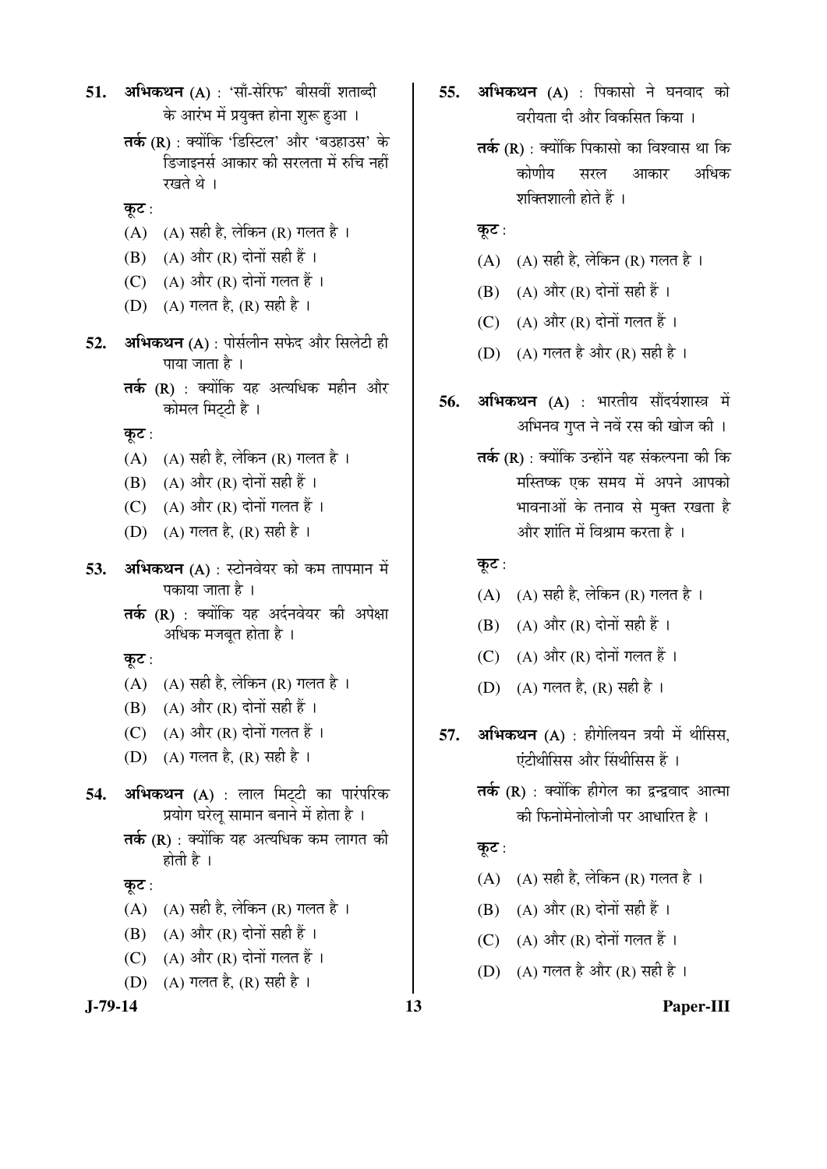```
51. अभिकथन (A) : 'साँ-सेरिफ' बीसवीं शताब्दी
के आरंभ में प्रयुक्त होना शुरू हुआ।
```
तर्क (R) : क्योंकि 'डिस्टिल' और 'बउहाउस' के <u>हिजाइनर्स आकार की सरलता में रुचि नहीं</u> रखते थे ।

# कुट $:$

- (A)  $(A)$  सही है, लेकिन (R) गलत है ।
- $(B)$   $(A)$  और  $(R)$  दोनों सही हैं।
- (C)  $(A)$  और  $(R)$  दोनों गलत हैं।
- (D) (A) गलत है, (R) सही है ।
- 52. **अभिकथन** (A) : पोर्सलीन सफेद और सिलेटी ही पाया जाता है $\perp$ 
	- $\overline{\mathsf{a}}$ के (R) : क्योंकि यह अत्यधिक महीन और कोमल मिटटी है।

कूट $:$ 

- $(A)$   $(A)$  सही है, लेकिन  $(R)$  गलत है।
- $(B)$   $(A)$  और  $(R)$  दोनों सही हैं ।
- (C) (A) और (R) दोनों गलत हैं ।
- (D) (A) गलत है, (R) सही है ।
- **53. अभिकथन** (A) : स्टोनवेयर को कम तापमान में पकाया जाता है ।
	- $\overline{\mathsf{a}}$ के (R) : क्योंकि यह अर्दनवेयर की अपेक्षा अधिक मजबूत होता है ।

कूट:

- $(A)$   $(A)$  सही है, लेकिन  $(R)$  गलत है।
- $(B)$   $(A)$  और  $(R)$  दोनों सही हैं ।
- $(C)$   $(A)$  और  $(R)$  दोनों गलत हैं।
- (D) (A) गलत है, (R) सही है ।
- 54. **अभिकथन** (A) : लाल मिट्टी का पारंपरिक प्रयोग घरेलू सामान बनाने में होता है ।
	- $\overline{\mathsf{a}}$ के (R) : क्योंकि यह अत्यधिक कम लागत की होती है $\perp$

#### कूट:

- $(A)$  (A) सही है, लेकिन (R) गलत है।
- (B)  $(A)$  और  $(R)$  दोनों सही हैं।
- (C)  $(A)$  और  $(R)$  दोनों गलत हैं।
- (D) (A) गलत है, (R) सही है ।

**J-79-14 13 Paper-III**

- **55. अभिकथन (A)** : पिकासो ने घनवाद को वरीयता दी और विकसित किया ।
	- $\overline{\mathsf{a}}$ के (R) : क्योंकि पिकासो का विश्वास था कि कोणीय सरल आकार अधिक शक्तिशाली होते हैं ।

# कूट :

- $(A)$   $(A)$  सही है, लेकिन  $(R)$  गलत है।
- $(B)$   $(A)$  और  $(R)$  दोनों सही हैं।
- (C)  $(A)$  और  $(R)$  दोनों गलत हैं।
- (D) (A) गलत है और (R) सही है ।
- **56. अभिकथन (A)** : भारतीय सौंदर्यशास्त्र में अभिनव गुप्त ने नवें रस की खोज की ।
	- $\overline{\mathsf{a}}$ के (R) : क्योंकि उन्होंने यह संकल्पना की कि मस्तिष्क एक समय में अपने आपको भावनाओं के तनाव से मुक्त रखता है <u>और शांति में विश्राम करता है</u> ।

कूट :

- $(A)$   $(A)$  सही है, लेकिन  $(R)$  गलत है।
- $(B)$   $(A)$  और  $(R)$  दोनों सही हैं।
- (C)  $(A)$  और  $(R)$  दोनों गलत हैं।
- (D) (A) गलत है, (R) सही है ।
- **57. अभिकथन** (A) : हीगेलियन त्रयी में थीसिस, एंटीथीसिस और सिंथीसिस हैं ।
	- $\overline{\mathsf{a}}$ र्क (R) : क्योंकि हीगेल का द्वन्द्ववाद आत्मा की फिनोमेनोलोजी पर आधारित है ।

# कुट:

- $(A)$   $(A)$  सही है, लेकिन  $(R)$  गलत है।
- $(B)$   $(A)$  और  $(R)$  दोनों सही हैं।
- $(C)$   $(A)$  और  $(R)$  दोनों गलत हैं।
- (D) (A) गलत है और (R) सही है ।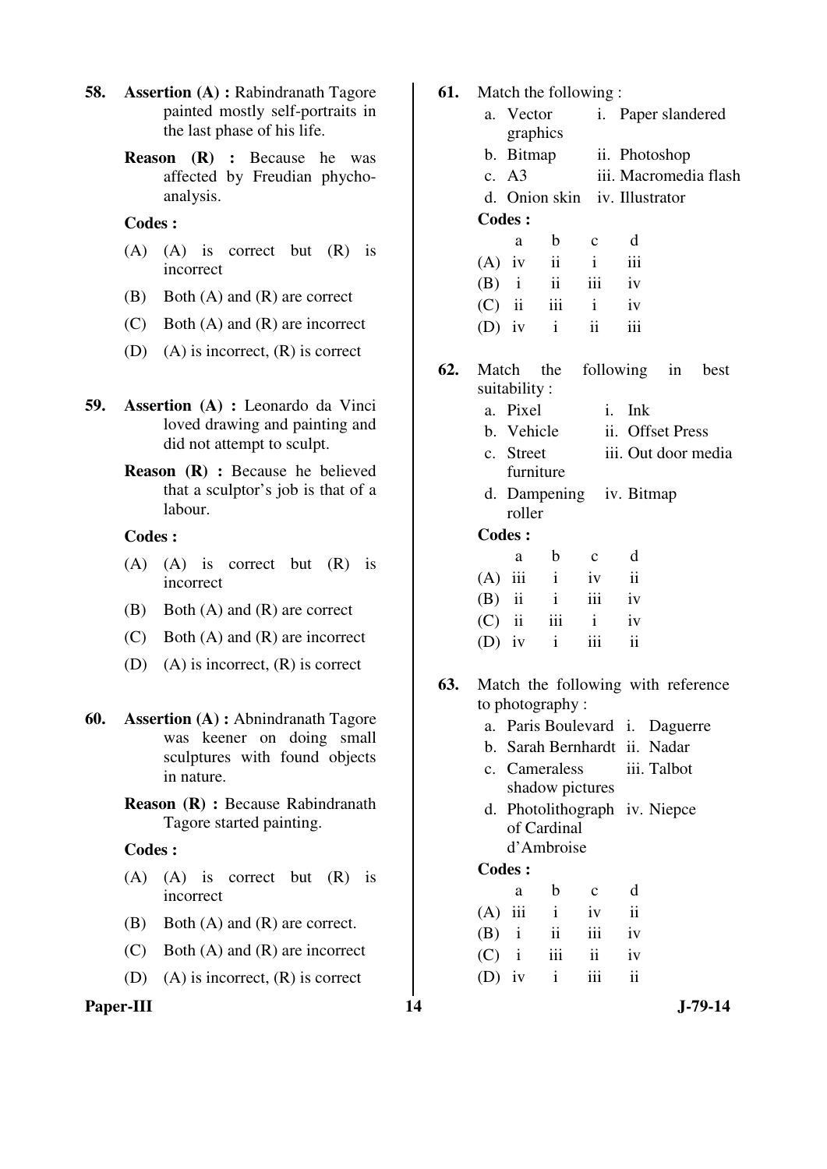- **58. Assertion (A) :** Rabindranath Tagore painted mostly self-portraits in the last phase of his life.
	- **Reason (R) :** Because he was affected by Freudian phychoanalysis.

## **Codes :**

- (A) (A) is correct but (R) is incorrect
- (B) Both (A) and (R) are correct
- (C) Both (A) and (R) are incorrect
- (D) (A) is incorrect, (R) is correct
- **59. Assertion (A) :** Leonardo da Vinci loved drawing and painting and did not attempt to sculpt.
	- **Reason (R) :** Because he believed that a sculptor's job is that of a labour.

#### **Codes :**

- (A) (A) is correct but (R) is incorrect
- (B) Both (A) and (R) are correct
- (C) Both (A) and (R) are incorrect
- (D) (A) is incorrect, (R) is correct
- **60. Assertion (A) :** Abnindranath Tagore was keener on doing small sculptures with found objects in nature.
	- **Reason (R) :** Because Rabindranath Tagore started painting.

#### **Codes :**

- (A) (A) is correct but (R) is incorrect
- (B) Both (A) and (R) are correct.
- (C) Both (A) and (R) are incorrect
- (D) (A) is incorrect, (R) is correct

# Paper-III 14 J-79-14

| 61. |          |               |                     | Match the following:          |                     |                                    |                       |
|-----|----------|---------------|---------------------|-------------------------------|---------------------|------------------------------------|-----------------------|
|     |          | a. Vector     |                     |                               |                     | i. Paper slandered                 |                       |
|     |          |               | graphics            |                               |                     |                                    |                       |
|     |          |               | b. Bitmap           |                               |                     | ii. Photoshop                      |                       |
|     |          | c. A3         |                     |                               |                     |                                    | iii. Macromedia flash |
|     |          |               |                     | d. Onion skin iv. Illustrator |                     |                                    |                       |
|     |          | <b>Codes:</b> |                     |                               |                     |                                    |                       |
|     |          | a             | $\mathbf{b}$        | $\mathbf c$                   | d                   |                                    |                       |
|     |          | $(A)$ iv      | $\ddot{\mathbf{i}}$ | $\mathbf{i}$                  | iii                 |                                    |                       |
|     |          |               | $(B)$ i ii          | iii                           | iv                  |                                    |                       |
|     |          | $(C)$ ii      |                     | $iii$ $i$                     | iv                  |                                    |                       |
|     |          | (D) iv $i$    |                     | ii                            | iii                 |                                    |                       |
| 62. |          | suitability:  | Match the           |                               |                     | following in best                  |                       |
|     |          | a. Pixel      |                     |                               | i. Ink              |                                    |                       |
|     |          |               | b. Vehicle          |                               |                     | ii. Offset Press                   |                       |
|     |          | c. Street     |                     |                               |                     |                                    | iii. Out door media   |
|     |          |               | furniture           |                               |                     |                                    |                       |
|     |          | roller        |                     | d. Dampening iv. Bitmap       |                     |                                    |                       |
|     |          | <b>Codes:</b> |                     |                               |                     |                                    |                       |
|     |          | a             | $\mathbf b$         | $\mathbf c$                   | d                   |                                    |                       |
|     |          | $(A)$ iii i   |                     | iv                            | $\mathbf{ii}$       |                                    |                       |
|     |          | $(B)$ ii      | $\mathbf{i}$        | iii                           | iv                  |                                    |                       |
|     |          | $(C)$ ii      | iii                 | $\mathbf{i}$                  | iv                  |                                    |                       |
|     |          | $(D)$ iv      | $\mathbf{i}$        | iii                           | $\ddot{\mathbf{i}}$ |                                    |                       |
| 63. |          |               |                     |                               |                     | Match the following with reference |                       |
|     |          |               | to photography :    |                               |                     |                                    |                       |
|     | a.       |               |                     | Paris Boulevard               | i.                  | Daguerre                           |                       |
|     |          |               |                     | b. Sarah Bernhardt            |                     | ii. Nadar                          |                       |
|     |          |               | c. Cameraless       |                               |                     | iii. Talbot                        |                       |
|     |          |               |                     | shadow pictures               |                     |                                    |                       |
|     | d.       |               |                     |                               |                     | Photolithograph iv. Niepce         |                       |
|     |          |               | of Cardinal         |                               |                     |                                    |                       |
|     |          |               | d'Ambroise          |                               |                     |                                    |                       |
|     |          | <b>Codes:</b> |                     |                               |                     |                                    |                       |
|     |          | a             | b                   | c                             | d                   |                                    |                       |
|     | (A)      | iii           | i                   | iv                            | ii                  |                                    |                       |
|     | (B)      | $\mathbf{i}$  | ii                  | iii                           | iv                  |                                    |                       |
|     | (C)      | $\mathbf{i}$  | iii                 | ii                            | iv                  |                                    |                       |
|     | $(D)$ iv |               | i                   | iii                           | ii                  |                                    |                       |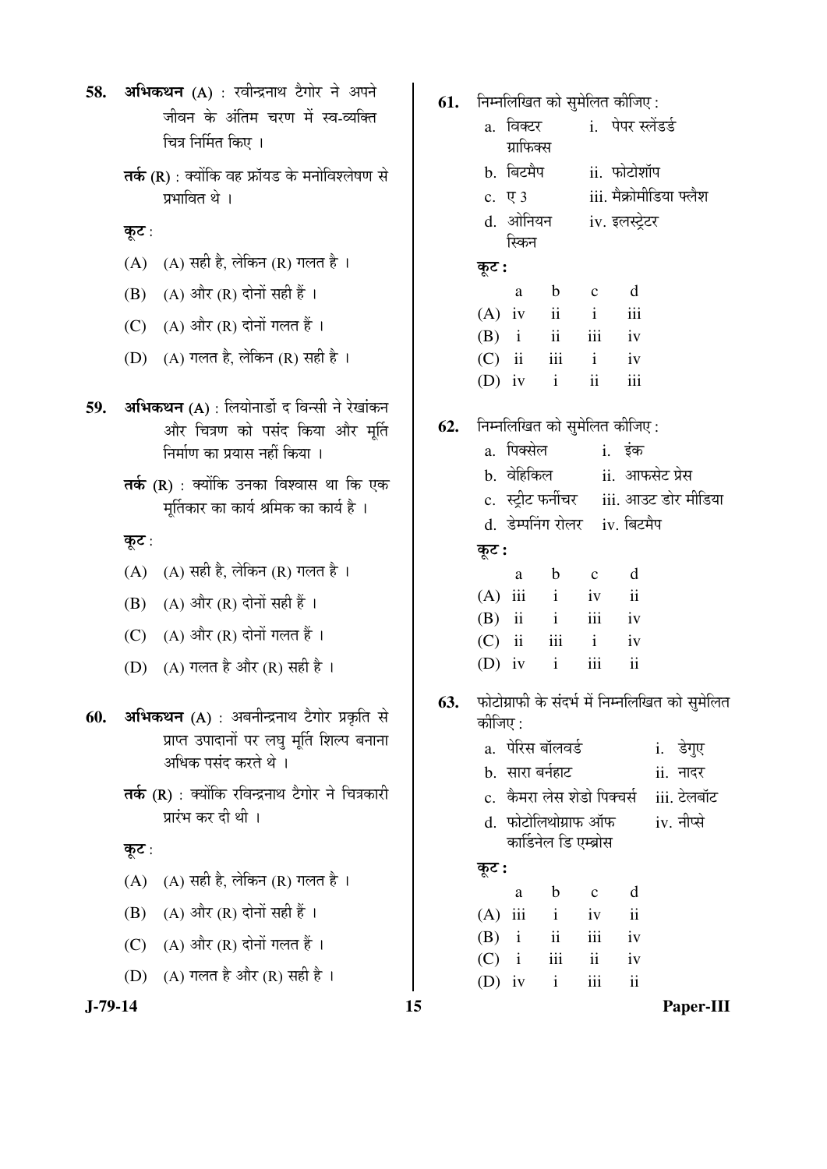- 58. अभिकथन (A) : रवीन्द्रनाथ टैगोर ने अपने <u>जीवन के अंतिम चरण में स्व-व्यक्ति</u> चित्र निर्मित किए ।
	- $\overline{\mathsf{a}}$ की (R) : क्योंकि वह फ्रॉयड के मनोविश्लेषण से प्रभावित थे ।
	- कूट:
	- (A)  $(A)$  सही है, लेकिन (R) गलत है।
	- $(B)$   $(A)$  और  $(R)$  दोनों सही हैं ।
	- (C)  $(A)$  और  $(R)$  दोनों गलत हैं।
	- (D)  $(A)$  गलत है, लेकिन (R) सही है ।
- **59. अभिकथन** (A) : लियोनार्डो द विन्सी ने रेखांकन और चित्रण को पसंद किया और मूर्ति निर्माण का प्रयास नहीं किया ।
	- $\overline{\mathsf{a}}$ के (R) : क्योंकि उनका विश्वास था कि एक मुर्तिकार का कार्य श्रमिक का कार्य है ।
	- कूट:
	- $(A)$   $(A)$  सही है, लेकिन  $(R)$  गलत है।
	- $(B)$   $(A)$  और  $(R)$  दोनों सही हैं।
	- (C)  $(A)$  और  $(R)$  दोनों गलत हैं।
	- (D)  $(A)$  गलत है और  $(R)$  सही है।
- 60. अभिकथन (A) : अबनीन्द्रनाथ टैगोर प्रकृति से प्राप्त उपादानों पर लघु मूर्ति शिल्प बनाना अधिक पसंद करते थे ।
	- $\overline{\mathsf{a}}$ की (R) : क्योंकि रविन्द्रनाथ टैगोर ने चित्रकारी प्रारंभ कर दी थी ।
	- कूट :
	- $(A)$   $(A)$  सही है, लेकिन  $(R)$  गलत है।
	- $(B)$   $(A)$  और  $(R)$  दोनों सही हैं।
	- (C)  $(A)$  और  $(R)$  दोनों गलत हैं।
	- (D) (A) गलत है और (R) सही है ।

- **61.** निम्नलिखित को सुमेलित कीजिए :
- a. विक्टर ग्राफिक्स i. पेपर स्लेंडर्ड b. बिटमैप ii. फोटोशॉप c. ए 3 iii. मैक्रोमीडिया फ्लैश d. ओनियन स्किन iv. इलस्ट्रेटर कूट : a b c d  $(A)$  iv ii i iii (B) i ii iii iv (C) ii iii i iv (D) iv i ii iii
- **62.** निम्नलिखित को सुमेलित कीजिए :
	- a. पिक्सेल i. इंक b. वेहिकिल ii. आफसेट प्रेस
	- c. स्ट्रीट फर्नीचर iii. आउट डोर मीडिया
	- d. डेम्पनिंग रोलर iv. बिटमैप

कूट :

| a | b                 | $\mathbf{c}$ | d |
|---|-------------------|--------------|---|
|   | $(A)$ iii i iv ii |              |   |
|   | $(B)$ ii ii ii iv |              |   |
|   | $(C)$ ii iii i iv |              |   |
|   | $(D)$ iv i iii ii |              |   |

- 63. फोटोग्राफी के संदर्भ में निम्नलिखित को सुमेलित कोजिए :
	- a. ¯Öê׸üÃÖ ²ÖÖò»Ö¾Ö›Ôü i. ›êüÝÖã‹
	- b. ÃÖÖ¸üÖ ²Ö®ÖÔÆüÖ™ü ii. ®ÖÖ¤ü¸ü
	- c. कैमरा लेस शेडो पिक्चर्स iii. टेलबॉट
	- d. फोटोलिथोग्राफ ऑफ कार्डिनेल डि एम्ब्रोस iv. नीप्से

# Ûæú™ü **:**

| a | $b \quad c$       | d |
|---|-------------------|---|
|   | $(A)$ iii i iv ii |   |
|   | $(B)$ i ii iii iv |   |
|   | $(C)$ i iii ii iv |   |
|   | $(D)$ iv i iii ii |   |

**J-79-14 15 Paper-III**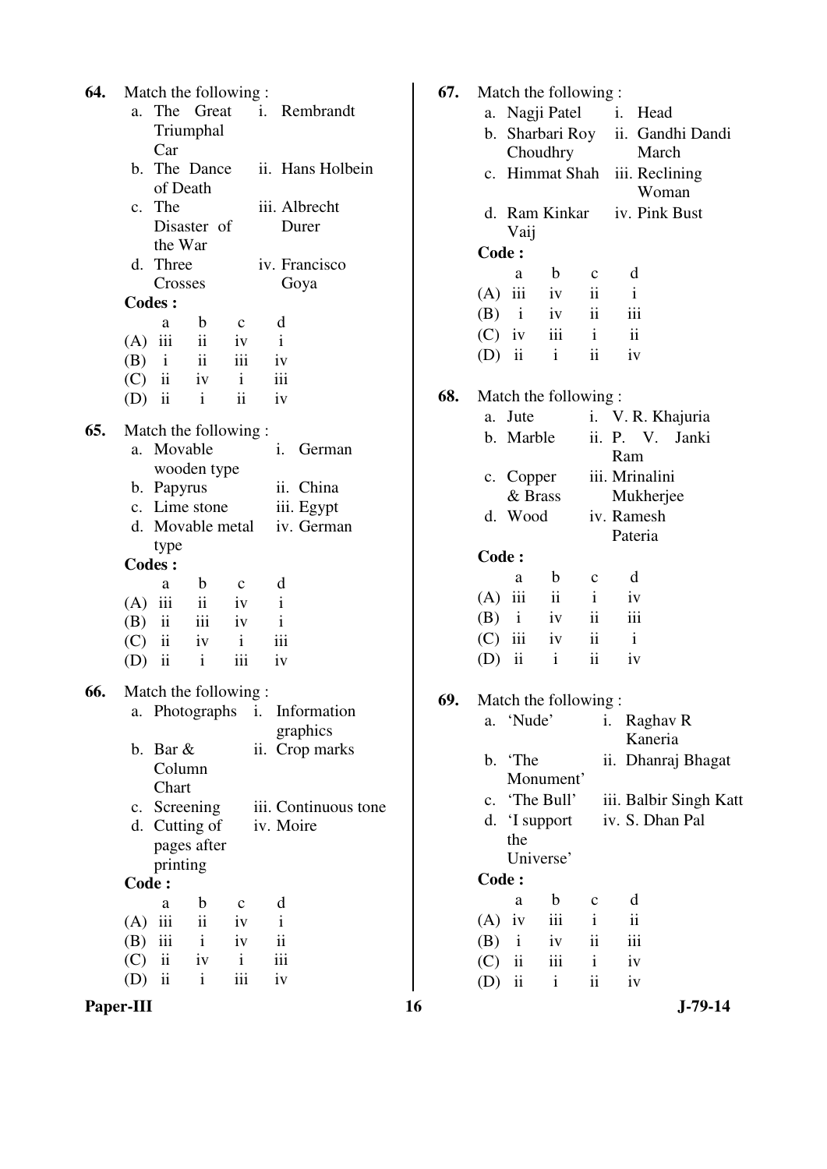| 64. |                |               | Match the following : |                     |    |              |                               |
|-----|----------------|---------------|-----------------------|---------------------|----|--------------|-------------------------------|
|     | а.             |               |                       |                     |    |              | The Great i. Rembrandt        |
|     |                |               | Triumphal             |                     |    |              |                               |
|     |                | Car           |                       |                     |    |              |                               |
|     |                |               |                       |                     |    |              | b. The Dance ii. Hans Holbein |
|     |                |               | of Death              |                     |    |              |                               |
|     | $\mathbf{c}$ . | The           |                       |                     |    |              | iii. Albrecht                 |
|     |                |               | Disaster of           |                     |    |              | Durer                         |
|     |                | the War       |                       |                     |    |              |                               |
|     | d.             | Three         |                       |                     |    |              | iv. Francisco                 |
|     |                |               | Crosses               |                     |    |              | Goya                          |
|     |                | <b>Codes:</b> |                       |                     |    |              |                               |
|     |                | a             | $\mathbf b$           | $\mathbf{C}$        |    | d            |                               |
|     |                | $(A)$ iii     | ii                    | iv                  |    | $\mathbf{i}$ |                               |
|     |                | $(B)$ i       | $\ddot{\mathbf{i}}$   | iii                 |    | iv           |                               |
|     |                |               | $(C)$ ii iv           | $\mathbf{i}$        |    | iii          |                               |
|     |                | $(D)$ ii      | $\mathbf{i}$          | $\ddot{\mathbf{i}}$ |    | iv           |                               |
|     |                |               |                       |                     |    |              |                               |
| 65. |                |               | Match the following:  |                     |    |              |                               |
|     |                | a. Movable    |                       |                     |    | i.           | German                        |
|     |                |               | wooden type           |                     |    |              |                               |
|     |                | b. Papyrus    |                       |                     |    |              | ii. China                     |
|     |                |               | c. Lime stone         |                     |    |              | iii. Egypt                    |
|     | d.             |               | Movable metal         |                     |    |              | iv. German                    |
|     |                |               |                       |                     |    |              |                               |
|     |                | type          |                       |                     |    |              |                               |
|     |                | <b>Codes:</b> |                       |                     |    |              |                               |
|     |                | a             | $\mathbf b$           | $\mathbf{c}$        |    | d            |                               |
|     |                | $(A)$ iii     | $\ddot{\mathbf{i}}$   | iv                  |    | $\mathbf{i}$ |                               |
|     |                |               | $(B)$ ii iii          | iv                  |    | $\mathbf{i}$ |                               |
|     |                |               | $(C)$ ii iv           | $\mathbf{i}$        |    | iii          |                               |
|     |                | $(D)$ ii      | $\mathbf{i}$          | iii                 |    | iv           |                               |
| 66. |                |               | Match the following:  |                     |    |              |                               |
|     |                |               | a. Photographs        |                     | i. |              | Information                   |
|     |                |               |                       |                     |    |              | graphics                      |
|     | b.             | Bar &         |                       |                     |    |              | ii. Crop marks                |
|     |                | Column        |                       |                     |    |              |                               |
|     |                | Chart         |                       |                     |    |              |                               |
|     |                |               |                       |                     |    |              | iii. Continuous tone          |
|     |                |               | c. Screening          |                     |    |              |                               |
|     |                |               | d. Cutting of         |                     |    |              | iv. Moire                     |
|     |                |               | pages after           |                     |    |              |                               |
|     |                | printing      |                       |                     |    |              |                               |
|     | <b>Code:</b>   |               |                       |                     |    |              |                               |
|     |                | a             | $\mathbf b$           | $\mathbf{C}$        |    | d            |                               |
|     |                | $(A)$ iii     | $\ddot{\mathbf{i}}$   | iv                  |    | $\mathbf{i}$ |                               |
|     |                |               | $(B)$ iii i           | iv                  |    | ii           |                               |
|     |                |               | $(C)$ ii iv           | $\mathbf{i}$        |    | iii          |                               |
|     |                | $(D)$ ii      | $\mathbf{i}$          | iii                 |    | iv           |                               |
|     |                |               |                       |                     |    |              |                               |

| 64. | Match the following:<br><i>i</i> . Rembrandt<br>The Great<br>a.<br>Triumphal | 67. | Match the following:<br>a. Nagji Patel<br>b. Sharbari Roy | $\mathbf{i}$ .<br>Head<br>ii. Gandhi Dandi |
|-----|------------------------------------------------------------------------------|-----|-----------------------------------------------------------|--------------------------------------------|
|     | Car<br>b. The Dance<br>ii. Hans Holbein<br>of Death                          |     | Choudhry<br>c. Himmat Shah                                | March<br>iii. Reclining<br>Woman           |
|     | iii. Albrecht<br>c. The<br>Disaster of<br>Durer                              |     | d. Ram Kinkar<br>Vaij                                     | iv. Pink Bust                              |
|     | the War                                                                      |     | Code:                                                     |                                            |
|     | d. Three<br>iv. Francisco                                                    |     | $\mathbf b$<br>a                                          | d<br>$\mathbf c$                           |
|     | Crosses<br>Goya                                                              |     | iii<br>(A)<br>iv                                          | ii<br>$\mathbf{i}$                         |
|     | <b>Codes:</b>                                                                |     | (B)<br>$\mathbf{i}$<br>iv                                 | $\overline{\textbf{ii}}$<br>iii            |
|     | d<br>$\mathbf b$<br>a<br>$\mathbf c$                                         |     | (C)<br>iv<br>iii                                          | ii<br>$\mathbf{i}$                         |
|     | $\mathbf{ii}$<br>$(A)$ iii<br>$\mathbf{i}$<br>iv                             |     |                                                           | $\overline{\textbf{ii}}$                   |
|     | $\overline{\mathbf{u}}$<br>iii<br>(B)<br>$\mathbf{i}$<br>iv                  |     | $\overline{\mathbf{ii}}$<br>$\mathbf{i}$<br>(D)           | iv                                         |
|     | $\,$ ii<br>iii<br>$\mathbf{i}$<br>(C)<br>iv                                  |     |                                                           |                                            |
|     | $\mathbf{ii}$<br>$\overline{\mathbf{ii}}$<br>(D)<br>$\mathbf{i}$<br>iv       | 68. | Match the following:                                      |                                            |
| 65. | Match the following:                                                         |     | a. Jute                                                   | i. V. R. Khajuria                          |
|     | a. Movable<br>$\mathbf{i}$ .<br>German                                       |     | b. Marble                                                 | ii. P. V. Janki<br>Ram                     |
|     | wooden type                                                                  |     | c. Copper                                                 | iii. Mrinalini                             |
|     | ii. China<br>b. Papyrus<br>c. Lime stone                                     |     | & Brass                                                   | Mukherjee                                  |
|     | iii. Egypt<br>d. Movable metal<br>iv. German                                 |     | d. Wood                                                   | iv. Ramesh<br>Pateria                      |
|     | type                                                                         |     | Code:                                                     |                                            |
|     | <b>Codes:</b>                                                                |     |                                                           |                                            |
|     | d<br>$\mathbf b$<br>a<br>$\mathbf c$                                         |     | $\mathbf b$<br>a                                          | d<br>$\mathbf{C}$                          |
|     | $\mathbf{i}$<br>$(A)$ iii<br>$\mathbf{ii}$<br>iv                             |     | iii<br>$\mathbf{ii}$<br>(A)                               | $\mathbf{i}$<br>iv                         |
|     | $\mathbf{ii}$<br>iii<br>(B)<br>$\mathbf{i}$<br>iv                            |     | (B)<br>$\mathbf{i}$<br>iv                                 | ii<br>iii                                  |
|     | iii<br>$\mathbf{ii}$<br>$\mathbf{i}$<br>(C)<br>iv                            |     | (C)<br>iii<br>iv                                          | ii<br>$\mathbf{i}$                         |
|     | iii<br>$\overline{\mathbf{ii}}$<br>(D)<br>$\mathbf{i}$<br>iv                 |     | $\,$ ii<br>$\mathbf{i}$<br>(D)                            | ii<br>iv                                   |
| 66. | Match the following:                                                         | 69. | Match the following:                                      |                                            |
|     | a. Photographs i.<br>Information                                             |     | a. 'Nude'                                                 | i. Raghav R                                |
|     | graphics                                                                     |     |                                                           | Kaneria                                    |
|     | b. Bar $&$<br>ii. Crop marks                                                 |     | b. The                                                    | ii. Dhanraj Bhagat                         |
|     | Column                                                                       |     | Monument'                                                 |                                            |
|     | Chart                                                                        |     | c. 'The Bull'                                             | iii. Balbir Singh Katt                     |
|     | c. Screening<br>iii. Continuous tone                                         |     | d. 'I support                                             | iv. S. Dhan Pal                            |
|     | d. Cutting of<br>iv. Moire                                                   |     | the                                                       |                                            |
|     | pages after                                                                  |     | Universe'                                                 |                                            |
|     | printing                                                                     |     | Code:                                                     |                                            |
|     | Code:                                                                        |     | $\mathbf b$<br>a                                          | d<br>$\mathbf c$                           |
|     | d<br>$\mathbf b$<br>a<br>$\mathbf{C}$                                        |     | iii<br>$(A)$ iv                                           | $\rm ii$<br>$\mathbf{i}$                   |
|     | $\mathbf{ii}$<br>iii<br>(A)<br>iv<br>$\bf{1}$                                |     |                                                           |                                            |
|     | $\rm ii$<br>iii<br>$\mathbf{i}$<br>(B)<br>iv                                 |     | (B)<br>$\mathbf{i}$<br>iv                                 | $\rm iii$<br>$\rm ii$                      |
|     | $\mathbf{ii}$<br>iii<br>(C)<br>iv<br>$\mathbf{i}$                            |     | ii<br>iii<br>(C)                                          | $\mathbf{i}$<br>iv                         |
|     | $\overline{\mathbf{ii}}$<br>iii<br>(D)<br>$\mathbf{i}$<br>iv                 |     | ii<br>$\mathbf{i}$<br>(D)                                 | $\overline{\textbf{ii}}$<br>iv             |
|     | Paper-III                                                                    | 16  |                                                           | $J-79-14$                                  |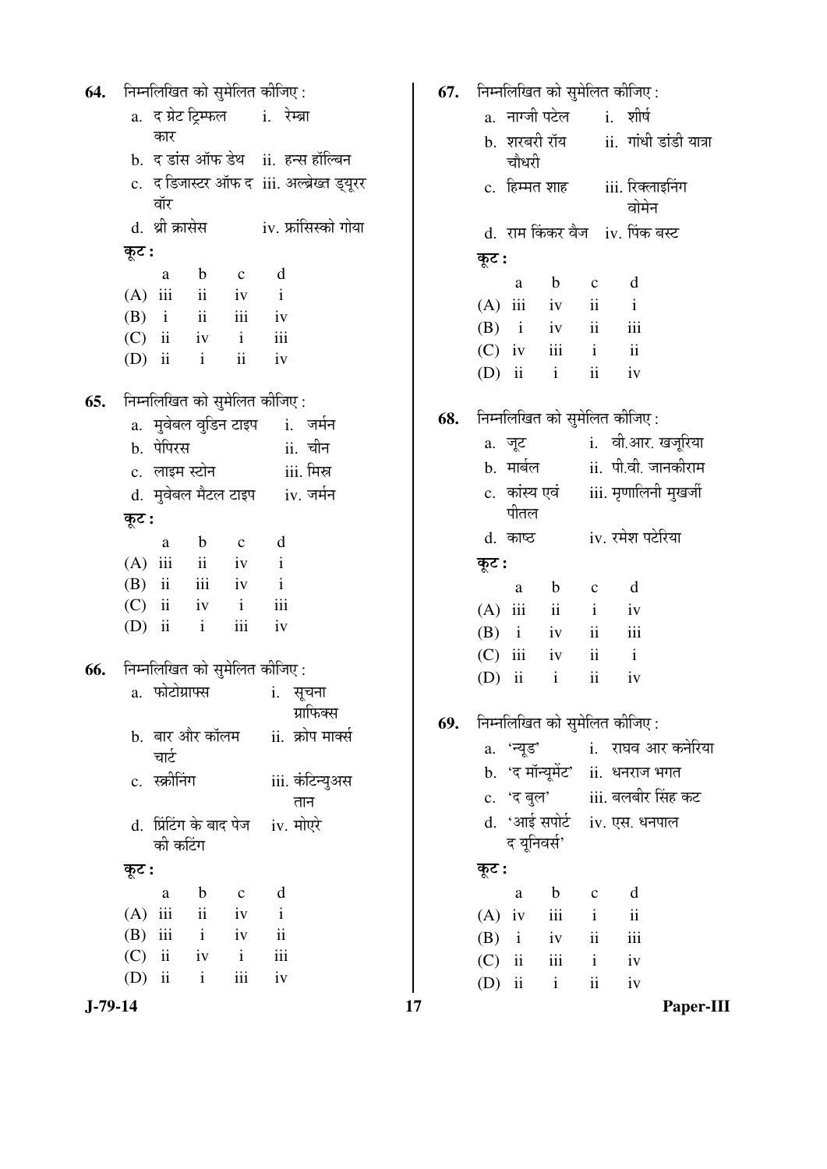**64.** निम्नलिखित को सुमेलित कीजिए : a. द ग्रेट टिम्फल कार i. रेम्ब्रा b. द डांस ऑफ डेथ ii. हन्स हॉल्बिन c. द डिजास्टर ऑफ द iii. अल्ब्रेख्त ड्यूरर वॉर d. थ्री क्रासेस iv. फ्रांसिस्को गोया कुट : a b c d  $(A)$  iii ii iv i  $(B)$  i ii iii iv (C) ii iv i iii (D) ii i ii iv **65.** निम्नलिखित को सुमेलित कीजिए : a. मुवेबल वुडिन टाइप i. जर्मन b. ¯ÖêׯָüÃÖ ii. "Öß®Ö c. लाइम स्टोन iii. मिस्र d. मुवेबल मैटल टाइप iv. जर्मन कूट : a b c d  $(A)$  iii ii iv i (B) ii iii iv i (C) ii iv i iii  $(D)$  ii ii iii iv **66.** निम्नलिखित को सुमेलित कीजिए : a. फोटोग्राफ्स i. सूचना ग्राफिक्स b. बार और कॉलम चार्ट ii. क्रोप मार्क्स c. ÃÛÎúߨ®ÖÝÖ iii. ÛÓú×™ü®µÖã†ÃÖ तान d. प्रिंटिंग के बाद पेज को कटिंग  $iv.$  मोएरे Ûæú™ü **:**  a b c d  $(A)$  iii ii iv i (B) iii i iv ii (C) ii iv i iii  $(D)$  ii ii iii iv

**J-79-14 17 Paper-III 67.** निम्नलिखित को सुमेलित कीजिए : a. नाग्जी पटेल i. शीर्ष b. शरबरी रॉय चौधरी  $ii.$  गांधी डांडी यात्रा c. हिम्मत शाह iii. रिक्लाइनिंग वोमेन d. राम किंकर वैज iv. पिंक बस्ट कूट : a b c d  $(A)$  iii iv ii i  $(B)$  i iv ii iii (C) iv iii i ii (D) ii i ii iv **68.** निम्नलिखित को सुमेलित कीजिए : a. जूट i. वी.आर. खजूरिया b. मार्बल ii. पी.वी. जानकीराम c. कांस्य एवं पीतल iii. मृणालिनी मुखर्जी d. काष्ठ iv. रमेश पटेरिया कूट : a b c d  $(A)$  iii ii iv  $(B)$  i iv ii iii (C) iii iv ii i (D) ii i ii iv **69.** निम्नलिखित को सुमेलित कीजिए : a. 'न्यूड' i. राघव आर कनेरिया b. 'द मॉन्यूमेंट' ii. धनराज भगत c. 'द बुल' iii. बलबीर सिंह कट d. 'आई सपोर्ट द यूनिवर्स' iv. एस. धनपाल Ûæú™ü **:**  a b c d  $(A)$  iv iii i ii  $(B)$  i iv ii iii (C) ii iii i iv (D) ii i ii iv

$$
17
$$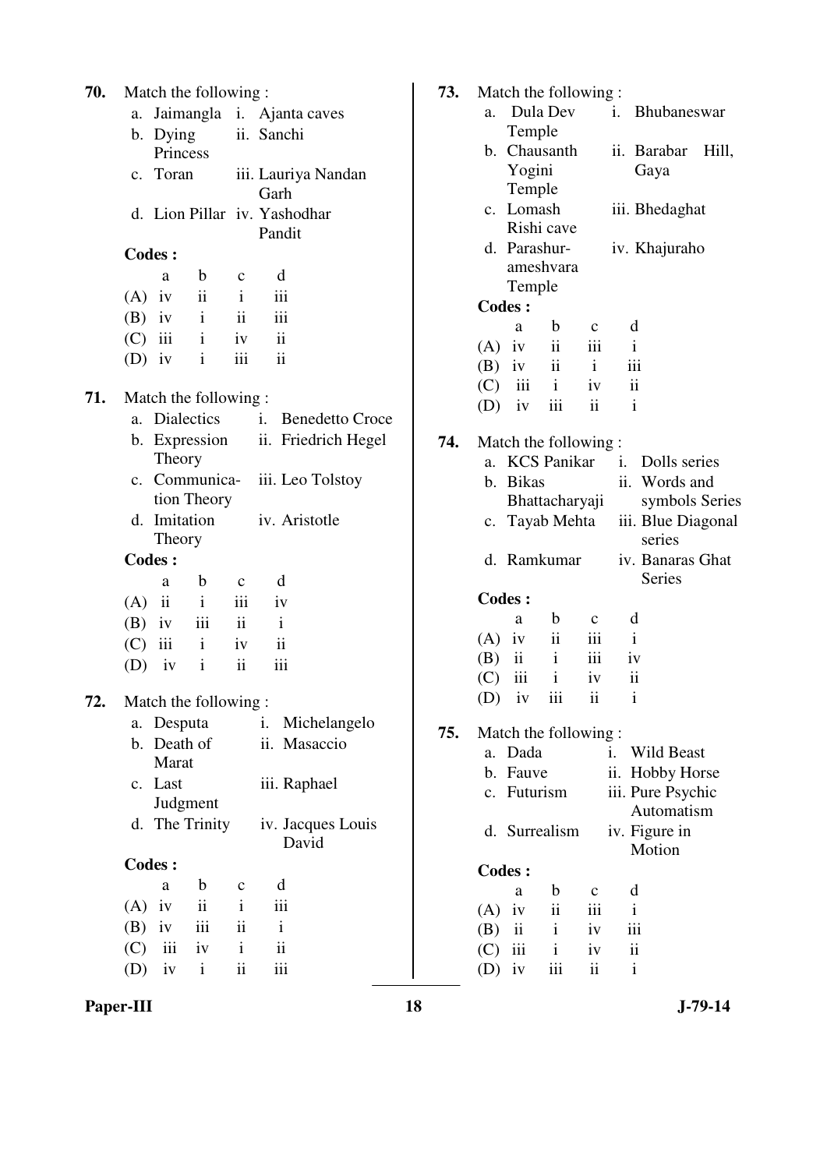| 70. | Match the following:                                    |                                          | 73. | Match the following:                                                         |
|-----|---------------------------------------------------------|------------------------------------------|-----|------------------------------------------------------------------------------|
|     | a.                                                      | Jaimangla i. Ajanta caves                |     | Dula Dev<br>Bhubaneswar<br>i.<br>a.                                          |
|     | b. Dying                                                | ii. Sanchi                               |     | Temple                                                                       |
|     | Princess                                                |                                          |     | b. Chausanth<br>ii. Barabar<br>Hill,                                         |
|     | c. Toran                                                | iii. Lauriya Nandan                      |     | Yogini<br>Gaya                                                               |
|     |                                                         | Garh                                     |     | Temple<br>c. Lomash<br>iii. Bhedaghat                                        |
|     | d. Lion Pillar iv. Yashodhar                            | Pandit                                   |     | Rishi cave                                                                   |
|     | <b>Codes:</b>                                           |                                          |     | d. Parashur-<br>iv. Khajuraho                                                |
|     | $\mathbf b$<br>a<br>$\mathbf c$                         | d                                        |     | ameshvara                                                                    |
|     | $\ddot{\rm ii}$<br>$\mathbf{i}$<br>$(A)$ iv             | iii                                      |     | Temple                                                                       |
|     | $\mathbf{i}$<br>$\ddot{\rm ii}$<br>(B)<br>$i\mathbf{v}$ | iii                                      |     | <b>Codes:</b>                                                                |
|     | iii<br>(C)<br>$\mathbf{i}$<br>iv                        | $\overline{\textbf{ii}}$                 |     | $\mathbf b$<br>d<br>a<br>$\mathbf c$<br>$\mathbf{ii}$<br>iii<br>$\mathbf{i}$ |
|     | $\mathbf{i}$<br>iii<br>iv<br>(D)                        | $\overline{\textbf{ii}}$                 |     | $(A)$ iv<br>iii<br>$\ddot{\rm ii}$<br>$\mathbf{i}$<br>(B)<br>iv              |
|     |                                                         |                                          |     | iii<br>$\mathbf{i}$<br>$\ddot{\rm ii}$<br>(C)<br>iv                          |
| 71. | Match the following:                                    |                                          |     | $\,$ iii<br>$\mathbf{ii}$<br>$\mathbf{i}$<br>(D)<br>iv                       |
|     | a. Dialectics                                           | <b>Benedetto Croce</b><br>$\mathbf{i}$ . |     |                                                                              |
|     | b. Expression                                           | ii. Friedrich Hegel                      | 74. | Match the following:                                                         |
|     | Theory                                                  |                                          |     | a. KCS Panikar<br>Dolls series<br>i.                                         |
|     | c. Communica-                                           | iii. Leo Tolstoy                         |     | b. Bikas<br>ii.<br>Words and                                                 |
|     | tion Theory                                             |                                          |     | symbols Series<br>Bhattacharyaji                                             |
|     | d. Imitation<br>Theory                                  | iv. Aristotle                            |     | c. Tayab Mehta<br>iii. Blue Diagonal<br>series                               |
|     | <b>Codes:</b>                                           |                                          |     | d. Ramkumar<br>iv. Banaras Ghat                                              |
|     | b<br>a<br>$\mathbf c$                                   | d                                        |     | <b>Series</b>                                                                |
|     | iii<br>ii<br>$\mathbf{i}$<br>(A)                        | iv                                       |     | <b>Codes:</b>                                                                |
|     | iii<br>$\mathbf{ii}$<br>(B)<br>iv                       | $\mathbf{i}$                             |     | b<br>d<br>a<br>$\mathbf{c}$                                                  |
|     | iii<br>$\mathbf{i}$<br>(C)<br>iv                        | $\ddot{\rm ii}$                          |     | $\overline{\textbf{ii}}$<br>iii<br>$(A)$ iv<br>$\mathbf{i}$                  |
|     | $\ddot{\rm ii}$<br>$\mathbf{i}$<br>(D)<br>iv            | iii                                      |     | $\mathbf{i}$<br>ii<br>iii<br>(B)<br>1V                                       |
|     |                                                         |                                          |     | $\rm i$<br>$\mathbf{ii}$<br>$\,$ iii<br>(C)<br>iv                            |
| 72. | Match the following:                                    |                                          |     | $(D)$ iv iii<br>$\overline{\mathbf{u}}$<br>$\mathbf{i}$                      |
|     | a. Desputa                                              | i.<br>Michelangelo                       | 75. | Match the following:                                                         |
|     | b. Death of                                             | ii. Masaccio                             |     | a. Dada<br>Wild Beast<br>i.                                                  |
|     | Marat                                                   |                                          |     | b. Fauve<br><b>Hobby Horse</b><br>ii.                                        |
|     | c. Last<br>Judgment                                     | iii. Raphael                             |     | iii. Pure Psychic<br>c. Futurism                                             |
|     | d. The Trinity                                          | iv. Jacques Louis                        |     | Automatism                                                                   |
|     |                                                         | David                                    |     | iv. Figure in<br>d. Surrealism<br>Motion                                     |
|     | <b>Codes:</b>                                           |                                          |     | <b>Codes:</b>                                                                |
|     | $\mathbf b$<br>$\mathbf{a}$<br>$\mathbf C$              | d                                        |     | d<br>$\mathbf b$<br>a<br>$\mathbf{C}$                                        |
|     | ii<br>$\mathbf{i}$<br>$(A)$ iv                          | iii                                      |     | $\rm ii$<br>iii<br>$(A)$ iv<br>$\mathbf{i}$                                  |
|     | iii<br>ii<br>(B)<br>iv                                  | $\mathbf{i}$                             |     | iii<br>$\overline{\mathbf{u}}$<br>$\mathbf{i}$<br>(B)<br>iv                  |
|     | iii<br>$\mathbf{i}$<br>(C)<br>iv                        | $\rm ii$                                 |     | $\mathbf{i}$<br>iii<br>(C)<br>$\overline{\mathbf{u}}$<br>iv                  |
|     | $\rm ii$<br>iv<br>$\mathbf{i}$<br>(D)                   | iii                                      |     | $\,$ iii<br>$\overline{\mathbf{ii}}$<br>$\mathbf{i}$<br>iv<br>(D)            |

**Paper-III** 18 J-79-14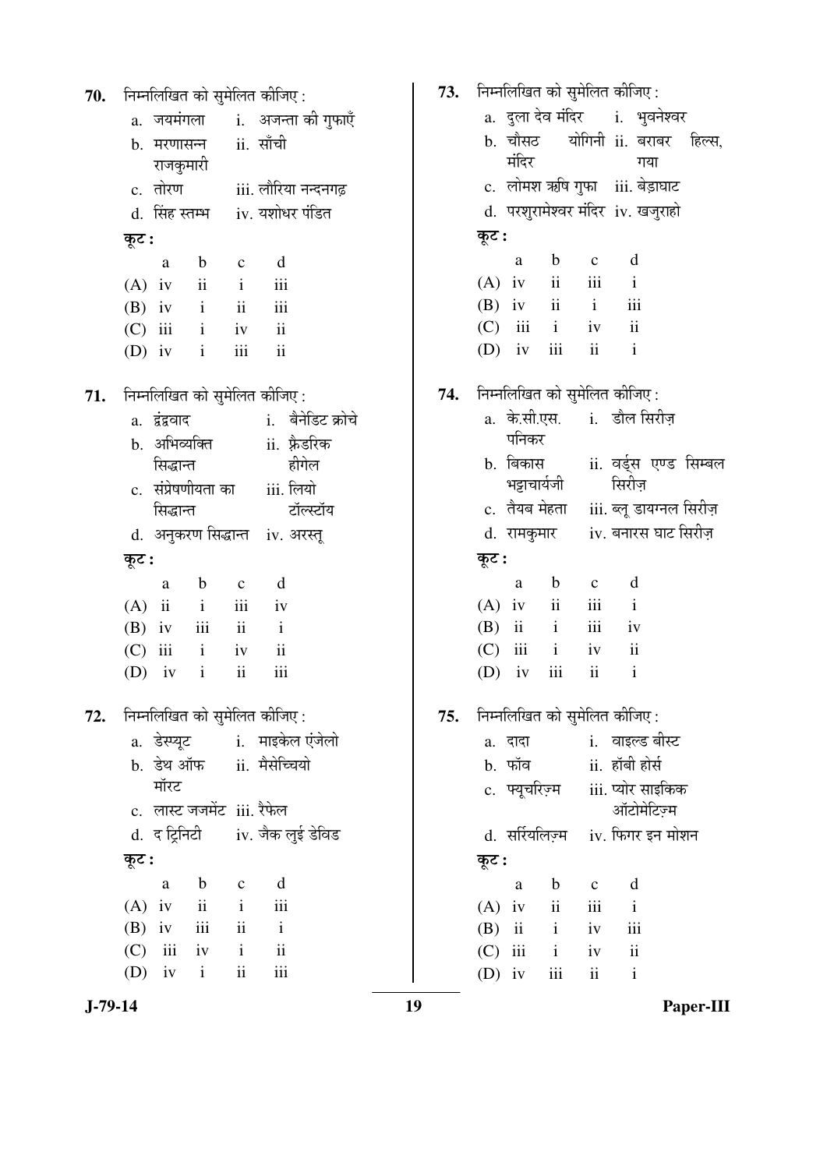| 70.       | निम्नलिखित को सुमेलित कीजिए:                               | 73. | निम्नलिखित को सुमेलित कीजिए :                  |                                         |  |
|-----------|------------------------------------------------------------|-----|------------------------------------------------|-----------------------------------------|--|
|           | i.    अजन्ता को गुफाएँ<br>a. जयमंगला                       |     | a. दुला देव मंदिर     i.   भुवनेश्वर           |                                         |  |
|           | ii. साँची<br>b. मरणासन्न                                   |     |                                                | b. चौसठ योगिनी ii. बराबर हिल्स,         |  |
|           | राजकुमारी                                                  |     | मंदिर                                          | गया                                     |  |
|           | c. तोरण<br>iii. लौरिया नन्दनगढ़                            |     |                                                | c. लोमश ऋषि गुफा iii. बेड़ाघाट          |  |
|           | iv. यशोधर पंडित<br>d. सिंह स्तम्भ                          |     |                                                | d. परशुरामेश्वर मंदिर iv. खजुराहो       |  |
|           | कूट :                                                      |     | कूट :                                          |                                         |  |
|           | d<br>$\mathbf b$<br>a<br>$\mathbf{C}$                      |     | $\mathbf b$<br>a                               | d<br>$\mathbf c$                        |  |
|           | $\overline{\mathbf{u}}$<br>$\mathbf{i}$<br>iii<br>$(A)$ iv |     | ii<br>$(A)$ iv                                 | iii<br>$\mathbf{i}$                     |  |
|           | $\mathbf{i}$<br>$\rm ii$<br>$(B)$ iv<br>iii                |     | ii<br>$(B)$ iv                                 | $\mathbf{i}$<br>iii                     |  |
|           | $(C)$ iii<br>$\mathbf{i}$<br>ii<br>iv                      |     | $\mathbf{i}$<br>(C)<br>iii                     | $\mathbf{ii}$<br>iv                     |  |
|           | $\rm ii$<br>iii<br>$(D)$ iv<br>$\mathbf{i}$                |     | iii<br>$(D)$ iv                                | $\overline{\mathbf{u}}$<br>$\mathbf{i}$ |  |
| 71.       | निम्नलिखित को सुमेलित कीजिए:                               | 74. | निम्नलिखित को सुमेलित कीजिए:                   |                                         |  |
|           | i. बैनेडिट क्रोचे<br>a. द्वंद्ववाद                         |     |                                                | a. के.सी.एस. i. डौल सिरीज़              |  |
|           | b. अभिव्यक्ति<br>ii. फ़्रैडरिक                             |     | पनिकर                                          |                                         |  |
|           | हीगेल<br>सिद्धान्त                                         |     | b. बिकास                                       | ii. वर्ड्स एण्ड सिम्बल                  |  |
|           | c. संप्रेषणीयता का<br>iii. लियो                            |     | भट्टाचार्यजी                                   | सिरीज़                                  |  |
|           | टॉल्स्टॉय<br>सिद्धान्त                                     |     | c. तैयब मेहता                                  | iii. ब्लू डायग्नल सिरीज़                |  |
|           | d. अनुकरण सिद्धान्त iv. अरस्तू                             |     | d. रामकुमार                                    | iv. बनारस घाट सिरीज़                    |  |
|           | कूट :                                                      |     | कूट :                                          |                                         |  |
|           | d<br>$\mathbf b$<br>$\mathbf c$<br>a                       |     | $\mathbf b$<br>a                               | d<br>$\mathbf{C}$                       |  |
|           | iii<br>$(A)$ ii<br>$\mathbf{i}$<br>iv                      |     | ii<br>$(A)$ iv                                 | iii<br>$\mathbf{i}$                     |  |
|           | $\mathbf{ii}$<br>iii<br>$(B)$ iv<br>$\mathbf{i}$           |     | $\mathbf{i}$<br>$\overline{\mathbf{u}}$<br>(B) | iii<br>iv                               |  |
|           | $\rm ii$<br>$(C)$ iii<br>$\mathbf{i}$<br>iv                |     | iii<br>$\mathbf{i}$<br>(C)                     | $\mathbf{ii}$<br>iv                     |  |
|           | $\rm ii$<br>iii<br>$\mathbf{i}$<br>(D)<br>iv               |     | $\,$ iii<br>(D)<br>iv                          | ii<br>$\mathbf{i}$                      |  |
| 72.       | निम्नलिखित को सुमेलित कीजिए :                              | 75. | निम्नलिखित को सुमेलित कीजिए :                  |                                         |  |
|           | a. डेस्प्यूट   i. माइकेल एंजेलो                            |     | a. दादा                                        | i. वाइल्ड बीस्ट                         |  |
|           | b. डेथ ऑफ ii. मैसेच्चियो                                   |     | b. फॉव                                         | ii. हॉबी होर्स                          |  |
|           | मॉरट                                                       |     | c. फ्यूचरिज़्म                                 | iii. प्योर साइकिक                       |  |
|           | c. लास्ट जजमेंट iii. रैफेल                                 |     |                                                | ऑटोमेटिज़्म                             |  |
|           | d. द ट्रिनिटी iv. जैक लुई डेविड                            |     |                                                | d. सर्रियलिज़्म iv. फिगर इन मोशन        |  |
|           | कूट :                                                      |     | कूट :                                          |                                         |  |
|           | d<br>$\mathbf b$<br>$\mathbf C$<br>a                       |     | $\mathbf b$<br>a                               | d<br>$\mathbf c$                        |  |
|           | $\overline{\mathbf{u}}$<br>$(A)$ iv<br>$\mathbf{i}$<br>iii |     | $\mathbf{ii}$<br>$(A)$ iv                      | iii<br>$\mathbf{i}$                     |  |
|           | iii<br>ii<br>(B)<br>iv<br>$\mathbf{i}$                     |     | $(B)$ ii<br>$\mathbf{i}$                       | iii<br>iv                               |  |
|           | iii<br>$\mathbf{i}$<br>ii<br>(C)<br>iv                     |     | $(C)$ iii<br>$\mathbf{i}$                      | $\rm ii$<br>iv                          |  |
|           | $\rm ii$<br>iii<br>(D)<br>iv<br>$\mathbf{i}$               |     | iii<br>$(D)$ iv                                | $\mathbf{i}$<br>$\mathbf{ii}$           |  |
| $J-79-14$ |                                                            | 19  |                                                | Paper-III                               |  |